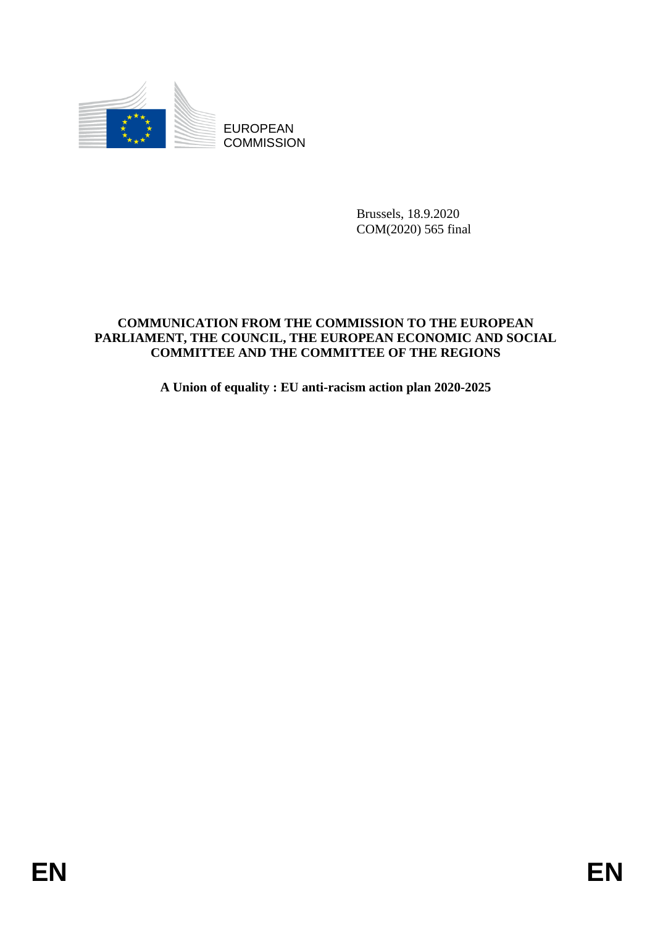

EUROPEAN **COMMISSION** 

> Brussels, 18.9.2020 COM(2020) 565 final

# **COMMUNICATION FROM THE COMMISSION TO THE EUROPEAN PARLIAMENT, THE COUNCIL, THE EUROPEAN ECONOMIC AND SOCIAL COMMITTEE AND THE COMMITTEE OF THE REGIONS**

**A Union of equality : EU anti-racism action plan 2020-2025**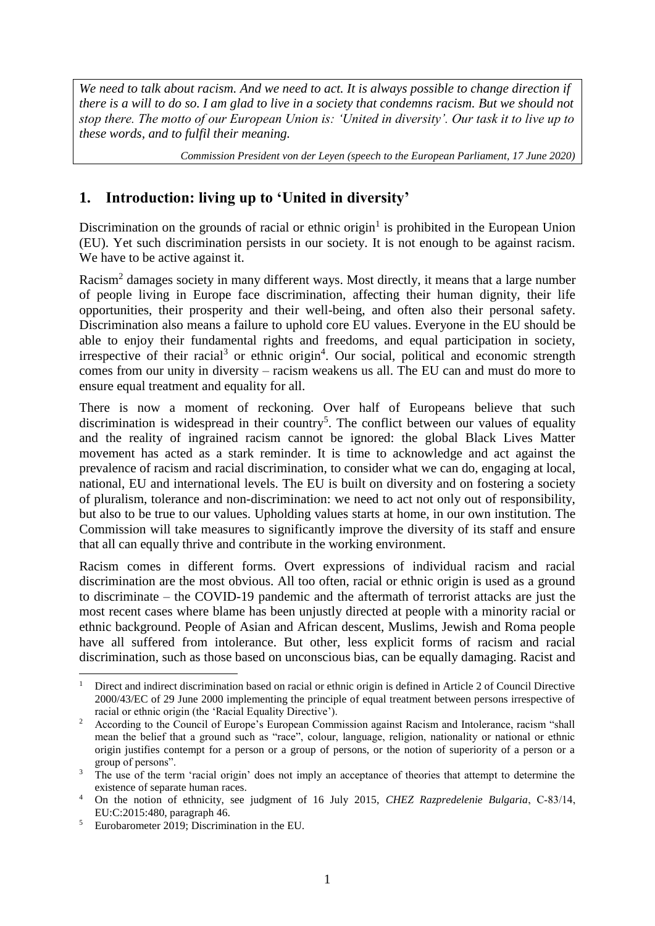*We need to talk about racism. And we need to act. It is always possible to change direction if there is a will to do so. I am glad to live in a society that condemns racism. But we should not stop there. The motto of our European Union is: 'United in diversity'. Our task it to live up to these words, and to fulfil their meaning.* 

*Commission President von der Leyen (speech to the European Parliament, 17 June 2020)*

# **1. Introduction: living up to 'United in diversity'**

Discrimination on the grounds of racial or ethnic origin<sup>1</sup> is prohibited in the European Union (EU). Yet such discrimination persists in our society. It is not enough to be against racism. We have to be active against it.

Racism<sup>2</sup> damages society in many different ways. Most directly, it means that a large number of people living in Europe face discrimination, affecting their human dignity, their life opportunities, their prosperity and their well-being, and often also their personal safety. Discrimination also means a failure to uphold core EU values. Everyone in the EU should be able to enjoy their fundamental rights and freedoms, and equal participation in society, irrespective of their racial<sup>3</sup> or ethnic origin<sup>4</sup>. Our social, political and economic strength comes from our unity in diversity – racism weakens us all. The EU can and must do more to ensure equal treatment and equality for all.

There is now a moment of reckoning. Over half of Europeans believe that such discrimination is widespread in their country<sup>5</sup>. The conflict between our values of equality and the reality of ingrained racism cannot be ignored: the global Black Lives Matter movement has acted as a stark reminder. It is time to acknowledge and act against the prevalence of racism and racial discrimination, to consider what we can do, engaging at local, national, EU and international levels. The EU is built on diversity and on fostering a society of pluralism, tolerance and non-discrimination: we need to act not only out of responsibility, but also to be true to our values. Upholding values starts at home, in our own institution. The Commission will take measures to significantly improve the diversity of its staff and ensure that all can equally thrive and contribute in the working environment.

Racism comes in different forms. Overt expressions of individual racism and racial discrimination are the most obvious. All too often, racial or ethnic origin is used as a ground to discriminate – the COVID-19 pandemic and the aftermath of terrorist attacks are just the most recent cases where blame has been unjustly directed at people with a minority racial or ethnic background. People of Asian and African descent, Muslims, Jewish and Roma people have all suffered from intolerance. But other, less explicit forms of racism and racial discrimination, such as those based on unconscious bias, can be equally damaging. Racist and

<sup>1</sup> Direct and indirect discrimination based on racial or ethnic origin is defined in Article 2 of Council Directive 2000/43/EC of 29 June 2000 implementing the principle of equal treatment between persons irrespective of racial or ethnic origin (the 'Racial Equality Directive').

According to the Council of Europe's European Commission against Racism and Intolerance, racism "shall mean the belief that a ground such as "race", colour, language, religion, nationality or national or ethnic origin justifies contempt for a person or a group of persons, or the notion of superiority of a person or a group of persons".

<sup>&</sup>lt;sup>3</sup> The use of the term 'racial origin' does not imply an acceptance of theories that attempt to determine the existence of separate human races.

<sup>4</sup> On the notion of ethnicity, see judgment of 16 July 2015, *CHEZ Razpredelenie Bulgaria*, C‑83/14, EU:C:2015:480, paragraph 46.

 $5$  Eurobarometer 2019; Discrimination in the EU.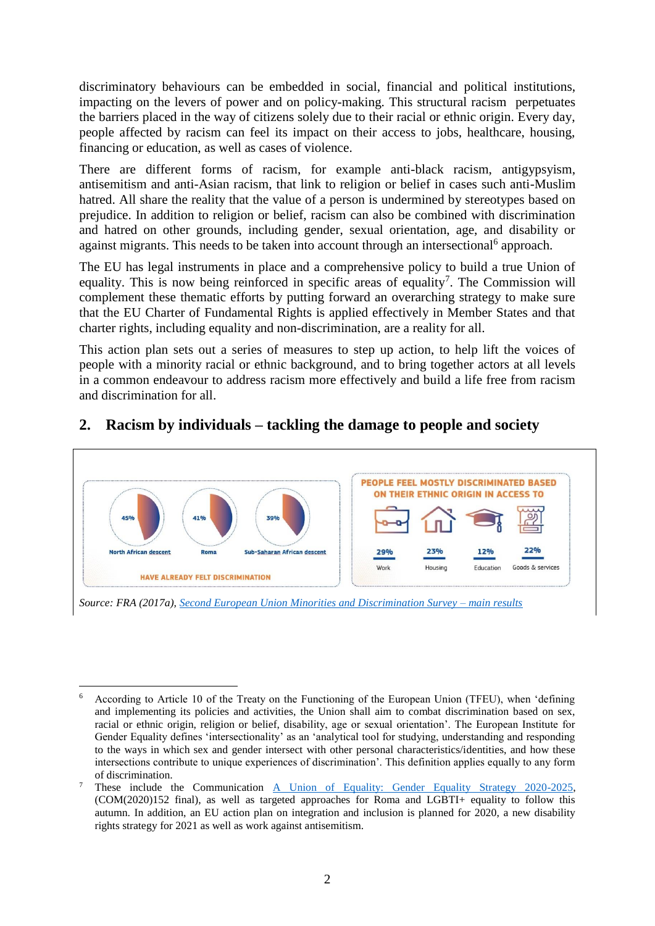discriminatory behaviours can be embedded in social, financial and political institutions, impacting on the levers of power and on policy-making. This structural racism perpetuates the barriers placed in the way of citizens solely due to their racial or ethnic origin. Every day, people affected by racism can feel its impact on their access to jobs, healthcare, housing, financing or education, as well as cases of violence.

There are different forms of racism, for example anti-black racism, antigypsyism, antisemitism and anti-Asian racism, that link to religion or belief in cases such anti-Muslim hatred. All share the reality that the value of a person is undermined by stereotypes based on prejudice. In addition to religion or belief, racism can also be combined with discrimination and hatred on other grounds, including gender, sexual orientation, age, and disability or against migrants. This needs to be taken into account through an intersectional<sup>6</sup> approach.

The EU has legal instruments in place and a comprehensive policy to build a true Union of equality. This is now being reinforced in specific areas of equality<sup>7</sup>. The Commission will complement these thematic efforts by putting forward an overarching strategy to make sure that the EU Charter of Fundamental Rights is applied effectively in Member States and that charter rights, including equality and non-discrimination, are a reality for all.

This action plan sets out a series of measures to step up action, to help lift the voices of people with a minority racial or ethnic background, and to bring together actors at all levels in a common endeavour to address racism more effectively and build a life free from racism and discrimination for all.

#### PEOPLE FEEL MOSTLY DISCRIMINATED BASED ON THEIR ETHNIC ORIGIN IN ACCESS TO  $A10k$ 22% North African descent **Roma** Sub-Saharan African descent  $790h$  $230h$  $120<sub>h</sub>$ Work Housing Education Goods & services **HAVE ALREADY FELT DISCRIMINATION** *Source: FRA (2017a), [Second European Union Minorities and Discrimination Survey –](https://fra.europa.eu/en/publication/2017/second-european-union-minorities-and-discrimination-survey-main-results) main results*

# **2. Racism by individuals – tackling the damage to people and society**

<sup>1</sup> <sup>6</sup> According to Article 10 of the Treaty on the Functioning of the European Union (TFEU), when 'defining and implementing its policies and activities, the Union shall aim to combat discrimination based on sex, racial or ethnic origin, religion or belief, disability, age or sexual orientation'. The European Institute for Gender Equality defines 'intersectionality' as an 'analytical tool for studying, understanding and responding to the ways in which sex and gender intersect with other personal characteristics/identities, and how these intersections contribute to unique experiences of discrimination'. This definition applies equally to any form of discrimination.

<sup>7</sup> These include the Communication [A Union of Equality: Gender Equality Strategy 2020-2025,](https://eur-lex.europa.eu/legal-content/EN/TXT/?uri=COM%3A2020%3A152%3AFIN) (COM(2020)152 final), as well as targeted approaches for Roma and LGBTI+ equality to follow this autumn. In addition, an EU action plan on integration and inclusion is planned for 2020, a new disability rights strategy for 2021 as well as work against antisemitism.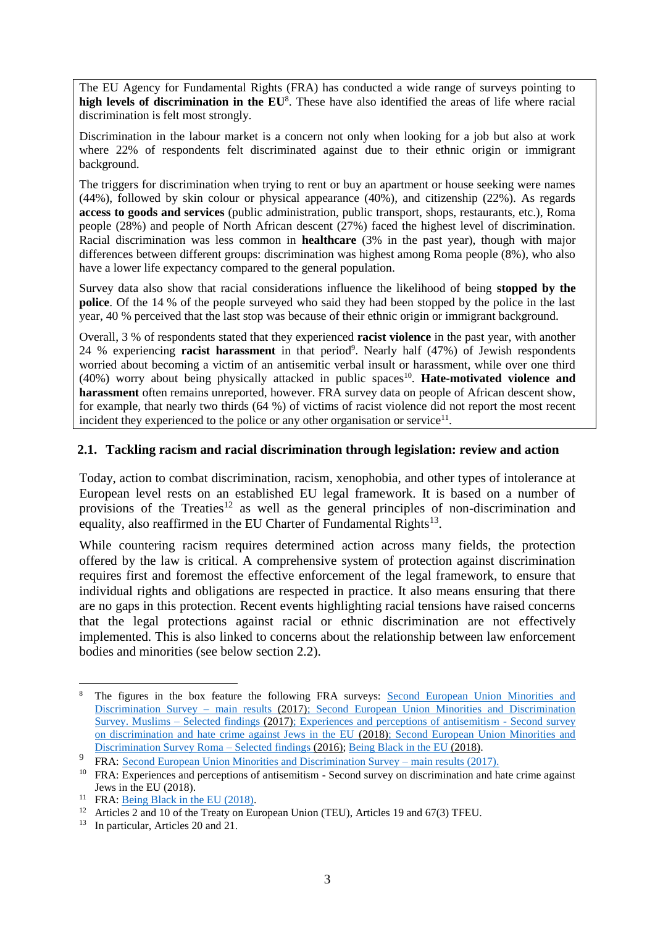The EU Agency for Fundamental Rights (FRA) has conducted a wide range of surveys pointing to **high levels of discrimination in the EU**<sup>8</sup> . These have also identified the areas of life where racial discrimination is felt most strongly.

Discrimination in the labour market is a concern not only when looking for a job but also at work where 22% of respondents felt discriminated against due to their ethnic origin or immigrant background.

The triggers for discrimination when trying to rent or buy an apartment or house seeking were names (44%), followed by skin colour or physical appearance (40%), and citizenship (22%). As regards **access to goods and services** (public administration, public transport, shops, restaurants, etc.), Roma people (28%) and people of North African descent (27%) faced the highest level of discrimination. Racial discrimination was less common in **healthcare** (3% in the past year), though with major differences between different groups: discrimination was highest among Roma people (8%), who also have a lower life expectancy compared to the general population.

Survey data also show that racial considerations influence the likelihood of being **stopped by the police**. Of the 14 % of the people surveyed who said they had been stopped by the police in the last year, 40 % perceived that the last stop was because of their ethnic origin or immigrant background.

Overall, 3 % of respondents stated that they experienced **racist violence** in the past year, with another 24 % experiencing **racist harassment** in that period<sup>9</sup>. Nearly half (47%) of Jewish respondents worried about becoming a victim of an antisemitic verbal insult or harassment, while over one third (40%) worry about being physically attacked in public spaces<sup>10</sup>. Hate-motivated violence and **harassment** often remains unreported, however. FRA survey data on people of African descent show, for example, that nearly two thirds (64 %) of victims of racist violence did not report the most recent incident they experienced to the police or any other organisation or service<sup>11</sup>.

# **2.1. Tackling racism and racial discrimination through legislation: review and action**

Today, action to combat discrimination, racism, xenophobia, and other types of intolerance at European level rests on an established EU legal framework. It is based on a number of provisions of the Treaties<sup>12</sup> as well as the general principles of non-discrimination and equality, also reaffirmed in the EU Charter of Fundamental Rights<sup>13</sup>.

While countering racism requires determined action across many fields, the protection offered by the law is critical. A comprehensive system of protection against discrimination requires first and foremost the effective enforcement of the legal framework, to ensure that individual rights and obligations are respected in practice. It also means ensuring that there are no gaps in this protection. Recent events highlighting racial tensions have raised concerns that the legal protections against racial or ethnic discrimination are not effectively implemented. This is also linked to concerns about the relationship between law enforcement bodies and minorities (see below section 2.2).

<sup>8</sup> The figures in the box feature the following FRA surveys: [Second European Union Minorities and](https://fra.europa.eu/en/publication/2017/second-european-union-minorities-and-discrimination-survey-main-results)  [Discrimination Survey –](https://fra.europa.eu/en/publication/2017/second-european-union-minorities-and-discrimination-survey-main-results) main results (2017); Second European Union Minorities and Discrimination Survey. Muslims – Selected findings (2017); Experiences and perceptions of antisemitism - Second survey on discrimination and hate crime against Jews in the EU (2018); [Second European Union Minorities and](https://fra.europa.eu/en/publication/2016/second-european-union-minorities-and-discrimination-survey-roma-selected-findings)  [Discrimination Survey Roma –](https://fra.europa.eu/en/publication/2016/second-european-union-minorities-and-discrimination-survey-roma-selected-findings) Selected findings (2016); [Being Black in the EU](https://fra.europa.eu/en/publication/2018/being-black-eu) (2018).

<sup>9</sup> FRA: [Second European Union Minorities and Discrimination Survey –](https://fra.europa.eu/en/publication/2017/second-european-union-minorities-and-discrimination-survey-main-results) main results (2017).

<sup>&</sup>lt;sup>10</sup> FRA: Experiences and perceptions of antisemitism - Second survey on discrimination and hate crime against Jews in the EU (2018).

<sup>&</sup>lt;sup>11</sup> FRA: [Being Black in the EU](https://fra.europa.eu/en/publication/2018/being-black-eu) (2018).

<sup>&</sup>lt;sup>12</sup> Articles 2 and 10 of the Treaty on European Union (TEU), Articles 19 and 67(3) TFEU.

<sup>&</sup>lt;sup>13</sup> In particular, Articles 20 and 21.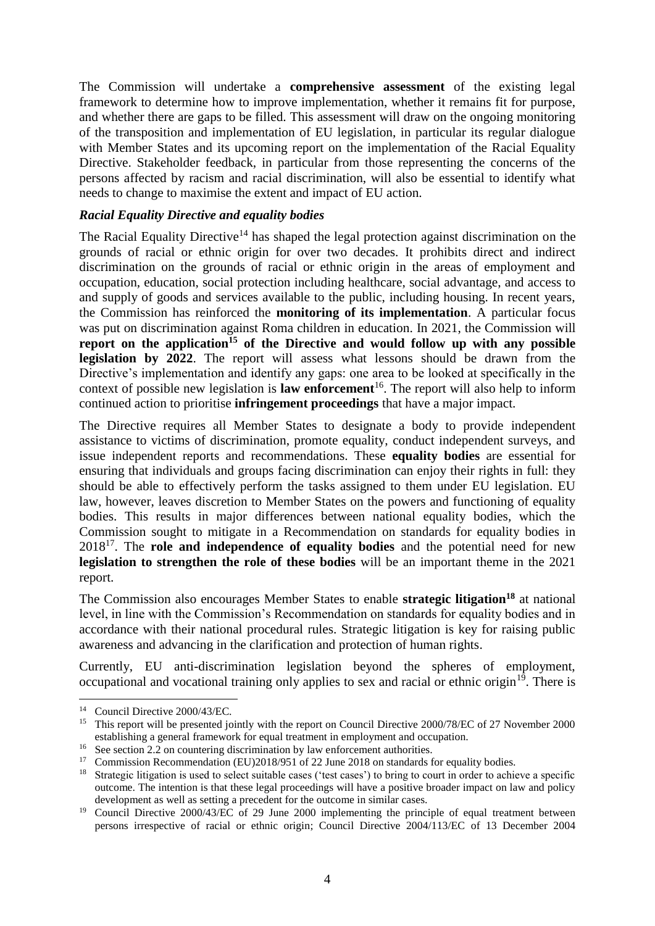The Commission will undertake a **comprehensive assessment** of the existing legal framework to determine how to improve implementation, whether it remains fit for purpose, and whether there are gaps to be filled. This assessment will draw on the ongoing monitoring of the transposition and implementation of EU legislation, in particular its regular dialogue with Member States and its upcoming report on the implementation of the Racial Equality Directive. Stakeholder feedback, in particular from those representing the concerns of the persons affected by racism and racial discrimination, will also be essential to identify what needs to change to maximise the extent and impact of EU action.

# *Racial Equality Directive and equality bodies*

The Racial Equality Directive<sup>14</sup> has shaped the legal protection against discrimination on the grounds of racial or ethnic origin for over two decades. It prohibits direct and indirect discrimination on the grounds of racial or ethnic origin in the areas of employment and occupation, education, social protection including healthcare, social advantage, and access to and supply of goods and services available to the public, including housing. In recent years, the Commission has reinforced the **monitoring of its implementation**. A particular focus was put on discrimination against Roma children in education. In 2021, the Commission will **report on the application<sup>15</sup> of the Directive and would follow up with any possible**  legislation by 2022. The report will assess what lessons should be drawn from the Directive's implementation and identify any gaps: one area to be looked at specifically in the context of possible new legislation is **law enforcement**<sup>16</sup>. The report will also help to inform continued action to prioritise **infringement proceedings** that have a major impact.

The Directive requires all Member States to designate a body to provide independent assistance to victims of discrimination, promote equality, conduct independent surveys, and issue independent reports and recommendations. These **equality bodies** are essential for ensuring that individuals and groups facing discrimination can enjoy their rights in full: they should be able to effectively perform the tasks assigned to them under EU legislation. EU law, however, leaves discretion to Member States on the powers and functioning of equality bodies. This results in major differences between national equality bodies, which the Commission sought to mitigate in a Recommendation on standards for equality bodies in 2018<sup>17</sup>. The **role and independence of equality bodies** and the potential need for new **legislation to strengthen the role of these bodies** will be an important theme in the 2021 report.

The Commission also encourages Member States to enable **strategic litigation<sup>18</sup>** at national level, in line with the Commission's Recommendation on standards for equality bodies and in accordance with their national procedural rules. Strategic litigation is key for raising public awareness and advancing in the clarification and protection of human rights.

Currently, EU anti-discrimination legislation beyond the spheres of employment, occupational and vocational training only applies to sex and racial or ethnic origin<sup>19</sup>. There is

<sup>&</sup>lt;u>.</u> <sup>14</sup> Council Directive 2000/43/EC.

<sup>&</sup>lt;sup>15</sup> This report will be presented jointly with the report on Council Directive 2000/78/EC of 27 November 2000 establishing a general framework for equal treatment in employment and occupation.

<sup>&</sup>lt;sup>16</sup> See section 2.2 on countering discrimination by law enforcement authorities.<br><sup>17</sup> Commission Becommondation (EU)2018/051 of 22 June 2018 on standards to

Commission Recommendation (EU)2018/951 of 22 June 2018 on standards for equality bodies.

<sup>&</sup>lt;sup>18</sup> Strategic litigation is used to select suitable cases ('test cases') to bring to court in order to achieve a specific outcome. The intention is that these legal proceedings will have a positive broader impact on law and policy development as well as setting a precedent for the outcome in similar cases.

<sup>&</sup>lt;sup>19</sup> Council Directive 2000/43/EC of 29 June 2000 implementing the principle of equal treatment between persons irrespective of racial or ethnic origin; Council Directive 2004/113/EC of 13 December 2004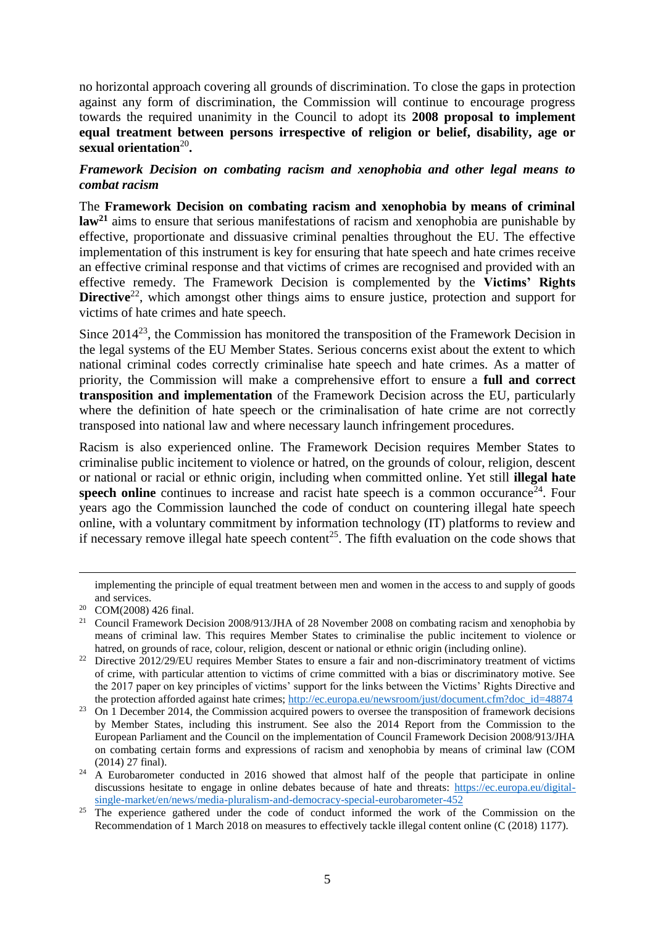no horizontal approach covering all grounds of discrimination. To close the gaps in protection against any form of discrimination, the Commission will continue to encourage progress towards the required unanimity in the Council to adopt its **2008 proposal to implement equal treatment between persons irrespective of religion or belief, disability, age or**  sexual orientation<sup>20</sup>.

# *Framework Decision on combating racism and xenophobia and other legal means to combat racism*

The **Framework Decision on combating racism and xenophobia by means of criminal law<sup>21</sup>** aims to ensure that serious manifestations of racism and xenophobia are punishable by effective, proportionate and dissuasive criminal penalties throughout the EU. The effective implementation of this instrument is key for ensuring that hate speech and hate crimes receive an effective criminal response and that victims of crimes are recognised and provided with an effective remedy. The Framework Decision is complemented by the **Victims' Rights Directive**<sup>22</sup>, which amongst other things aims to ensure justice, protection and support for victims of hate crimes and hate speech.

Since  $2014^{23}$ , the Commission has monitored the transposition of the Framework Decision in the legal systems of the EU Member States. Serious concerns exist about the extent to which national criminal codes correctly criminalise hate speech and hate crimes. As a matter of priority, the Commission will make a comprehensive effort to ensure a **full and correct transposition and implementation** of the Framework Decision across the EU, particularly where the definition of hate speech or the criminalisation of hate crime are not correctly transposed into national law and where necessary launch infringement procedures.

Racism is also experienced online. The Framework Decision requires Member States to criminalise public incitement to violence or hatred, on the grounds of colour, religion, descent or national or racial or ethnic origin, including when committed online. Yet still **illegal hate**  speech online continues to increase and racist hate speech is a common occurance<sup>24</sup>. Four years ago the Commission launched the code of conduct on countering illegal hate speech online, with a voluntary commitment by information technology (IT) platforms to review and if necessary remove illegal hate speech content<sup>25</sup>. The fifth evaluation on the code shows that

<u>.</u>

implementing the principle of equal treatment between men and women in the access to and supply of goods and services.

<sup>20</sup> COM(2008) 426 final.

<sup>&</sup>lt;sup>21</sup> Council Framework Decision [2008/913/JHA](https://eur-lex.europa.eu/legal-content/EN/AUTO/?uri=celex:32008F0913) of 28 November 2008 on combating racism and xenophobia by means of criminal law. This requires Member States to criminalise the public incitement to violence or hatred, on grounds of race, colour, religion, descent or national or ethnic origin (including online).

<sup>&</sup>lt;sup>22</sup> Directive 2012/29/EU requires Member States to ensure a fair and non-discriminatory treatment of victims of crime, with particular attention to victims of crime committed with a bias or discriminatory motive. See the 2017 paper on key principles of victims' support for the links between the Victims' Rights Directive and the protection afforded against hate crimes; [http://ec.europa.eu/newsroom/just/document.cfm?doc\\_id=48874](http://ec.europa.eu/newsroom/just/document.cfm?doc_id=48874)

<sup>&</sup>lt;sup>23</sup> On 1 December 2014, the Commission acquired powers to oversee the transposition of framework decisions by Member States, including this instrument. See also the 2014 Report from the Commission to the European Parliament and the Council on the implementation of Council Framework Decision 2008/913/JHA on combating certain forms and expressions of racism and xenophobia by means of criminal law (COM (2014) 27 final).

<sup>&</sup>lt;sup>24</sup> A Eurobarometer conducted in 2016 showed that almost half of the people that participate in online discussions hesitate to engage in online debates because of hate and threats: [https://ec.europa.eu/digital](https://ec.europa.eu/digital-single-market/en/news/media-pluralism-and-democracy-special-eurobarometer-452)[single-market/en/news/media-pluralism-and-democracy-special-eurobarometer-452](https://ec.europa.eu/digital-single-market/en/news/media-pluralism-and-democracy-special-eurobarometer-452)

<sup>&</sup>lt;sup>25</sup> The experience gathered under the code of conduct informed the work of the Commission on the Recommendation of 1 March 2018 on measures to effectively tackle illegal content online (C (2018) 1177).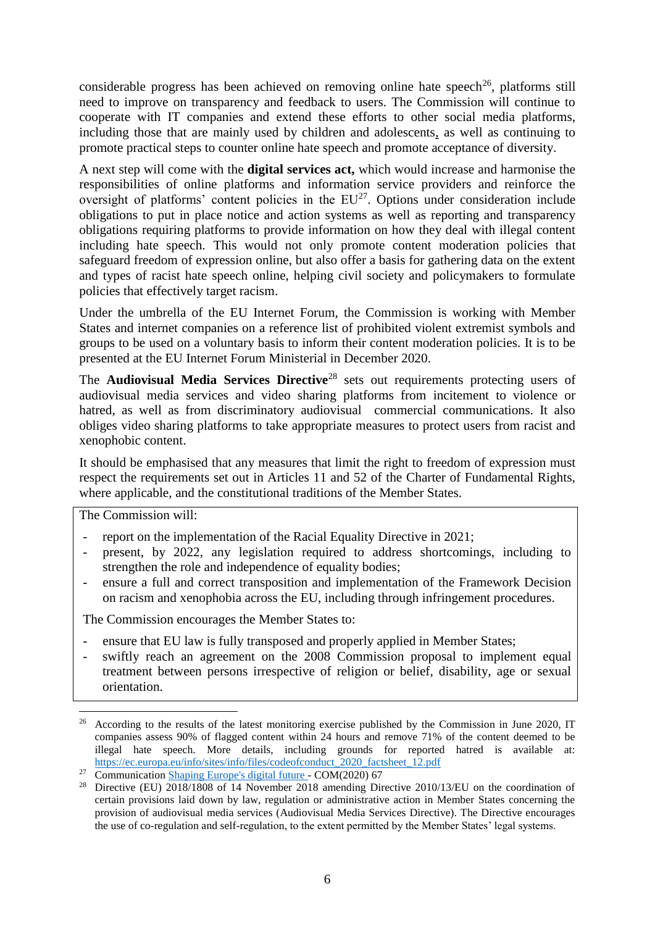considerable progress has been achieved on removing online hate speech<sup>26</sup>, platforms still need to improve on transparency and feedback to users. The Commission will continue to cooperate with IT companies and extend these efforts to other social media platforms, including those that are mainly used by children and adolescents, as well as continuing to promote practical steps to counter online hate speech and promote acceptance of diversity.

A next step will come with the **digital services act,** which would increase and harmonise the responsibilities of online platforms and information service providers and reinforce the oversight of platforms' content policies in the  $EU^{27}$ . Options under consideration include obligations to put in place notice and action systems as well as reporting and transparency obligations requiring platforms to provide information on how they deal with illegal content including hate speech. This would not only promote content moderation policies that safeguard freedom of expression online, but also offer a basis for gathering data on the extent and types of racist hate speech online, helping civil society and policymakers to formulate policies that effectively target racism.

Under the umbrella of the EU Internet Forum, the Commission is working with Member States and internet companies on a reference list of prohibited violent extremist symbols and groups to be used on a voluntary basis to inform their content moderation policies. It is to be presented at the EU Internet Forum Ministerial in December 2020.

The **Audiovisual Media Services Directive**<sup>28</sup> sets out requirements protecting users of audiovisual media services and video sharing platforms from incitement to violence or hatred, as well as from discriminatory audiovisual commercial communications. It also obliges video sharing platforms to take appropriate measures to protect users from racist and xenophobic content.

It should be emphasised that any measures that limit the right to freedom of expression must respect the requirements set out in Articles 11 and 52 of the Charter of Fundamental Rights, where applicable, and the constitutional traditions of the Member States.

The Commission will:

1

- report on the implementation of the Racial Equality Directive in 2021;
- present, by 2022, any legislation required to address shortcomings, including to strengthen the role and independence of equality bodies;
- ensure a full and correct transposition and implementation of the Framework Decision on racism and xenophobia across the EU, including through infringement procedures.

The Commission encourages the Member States to:

- ensure that EU law is fully transposed and properly applied in Member States;
- swiftly reach an agreement on the 2008 Commission proposal to implement equal treatment between persons irrespective of religion or belief, disability, age or sexual orientation.

<sup>&</sup>lt;sup>26</sup> According to the results of the latest monitoring exercise published by the Commission in June 2020, IT companies assess 90% of flagged content within 24 hours and remove 71% of the content deemed to be illegal hate speech. More details, including grounds for reported hatred is available at: [https://ec.europa.eu/info/sites/info/files/codeofconduct\\_2020\\_factsheet\\_12.pdf](https://ec.europa.eu/info/sites/info/files/codeofconduct_2020_factsheet_12.pdf)

<sup>&</sup>lt;sup>27</sup> Communication [Shaping Europe's digital future -](https://eur-lex.europa.eu/legal-content/EN/TXT/?qid=1598456462256&uri=CELEX:52020DC0067) COM(2020) 67

<sup>&</sup>lt;sup>28</sup> Directive (EU) 2018/1808 of 14 November 2018 amending Directive 2010/13/EU on the coordination of certain provisions laid down by law, regulation or administrative action in Member States concerning the provision of audiovisual media services (Audiovisual Media Services Directive). The Directive encourages the use of co-regulation and self-regulation, to the extent permitted by the Member States' legal systems.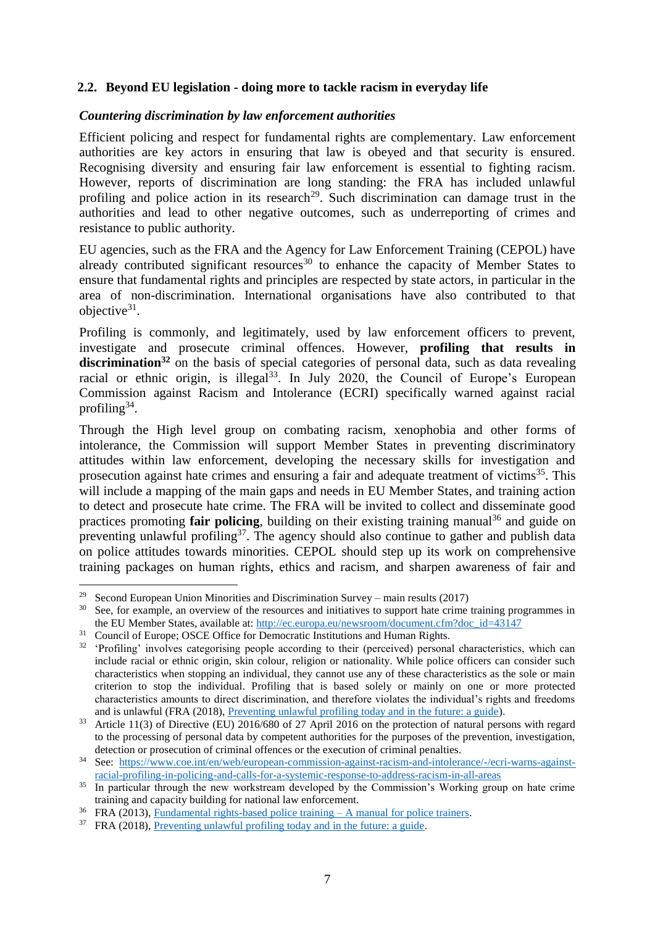# **2.2. Beyond EU legislation - doing more to tackle racism in everyday life**

#### *Countering discrimination by law enforcement authorities*

Efficient policing and respect for fundamental rights are complementary. Law enforcement authorities are key actors in ensuring that law is obeyed and that security is ensured. Recognising diversity and ensuring fair law enforcement is essential to fighting racism. However, reports of discrimination are long standing: the FRA has included unlawful profiling and police action in its research<sup>29</sup>. Such discrimination can damage trust in the authorities and lead to other negative outcomes, such as underreporting of crimes and resistance to public authority.

EU agencies, such as the FRA and the Agency for Law Enforcement Training (CEPOL) have already contributed significant resources<sup>30</sup> to enhance the capacity of Member States to ensure that fundamental rights and principles are respected by state actors, in particular in the area of non-discrimination. International organisations have also contributed to that objective $31$ .

Profiling is commonly, and legitimately, used by law enforcement officers to prevent, investigate and prosecute criminal offences. However, **profiling that results in**  discrimination<sup>32</sup> on the basis of special categories of personal data, such as data revealing racial or ethnic origin, is illegal<sup>33</sup>. In July 2020, the Council of Europe's European Commission against Racism and Intolerance (ECRI) specifically warned against racial profiling<sup>34</sup>.

Through the High level group on combating racism, xenophobia and other forms of intolerance, the Commission will support Member States in preventing discriminatory attitudes within law enforcement, developing the necessary skills for investigation and prosecution against hate crimes and ensuring a fair and adequate treatment of victims<sup>35</sup>. This will include a mapping of the main gaps and needs in EU Member States, and training action to detect and prosecute hate crime. The FRA will be invited to collect and disseminate good practices promoting **fair policing**, building on their existing training manual<sup>36</sup> and guide on preventing unlawful profiling $37$ . The agency should also continue to gather and publish data on police attitudes towards minorities. CEPOL should step up its work on comprehensive training packages on human rights, ethics and racism, and sharpen awareness of fair and

<sup>&</sup>lt;sup>29</sup> Second European Union Minorities and Discrimination Survey – main results (2017)

<sup>&</sup>lt;sup>30</sup> See, for example, an overview of the resources and initiatives to support hate crime training programmes in the EU Member States, available at: [http://ec.europa.eu/newsroom/document.cfm?doc\\_id=43147](http://ec.europa.eu/newsroom/document.cfm?doc_id=43147)

<sup>&</sup>lt;sup>31</sup> Council of Europe; OSCE Office for Democratic Institutions and Human Rights.

<sup>&</sup>lt;sup>32</sup> 'Profiling' involves categorising people according to their (perceived) personal characteristics, which can include racial or ethnic origin, skin colour, religion or nationality. While police officers can consider such characteristics when stopping an individual, they cannot use any of these characteristics as the sole or main criterion to stop the individual. Profiling that is based solely or mainly on one or more protected characteristics amounts to direct discrimination, and therefore violates the individual's rights and freedoms and is unlawful (FRA (2018), [Preventing unlawful profiling today and in the future: a guide\)](https://fra.europa.eu/en/publication/2018/preventing-unlawful-profiling-today-and-future-guide).

<sup>33</sup> Article 11(3) of Directive (EU) 2016/680 of 27 April 2016 on the protection of natural persons with regard to the processing of personal data by competent authorities for the purposes of the prevention, investigation, detection or prosecution of criminal offences or the execution of criminal penalties.

<sup>34</sup> See: [https://www.coe.int/en/web/european-commission-against-racism-and-intolerance/-/ecri-warns-against](https://www.coe.int/en/web/european-commission-against-racism-and-intolerance/-/ecri-warns-against-racial-profiling-in-policing-and-calls-for-a-systemic-response-to-address-racism-in-all-areas)[racial-profiling-in-policing-and-calls-for-a-systemic-response-to-address-racism-in-all-areas](https://www.coe.int/en/web/european-commission-against-racism-and-intolerance/-/ecri-warns-against-racial-profiling-in-policing-and-calls-for-a-systemic-response-to-address-racism-in-all-areas)

<sup>&</sup>lt;sup>35</sup> In particular through the new workstream developed by the Commission's Working group on hate crime training and capacity building for national law enforcement.

 $36$  FRA (2013), Fundamental rights-based police training  $- A$  manual for police trainers.

<sup>37</sup> FRA (2018), [Preventing unlawful profiling today and in the future: a guide.](https://fra.europa.eu/en/publication/2018/preventing-unlawful-profiling-today-and-future-guide)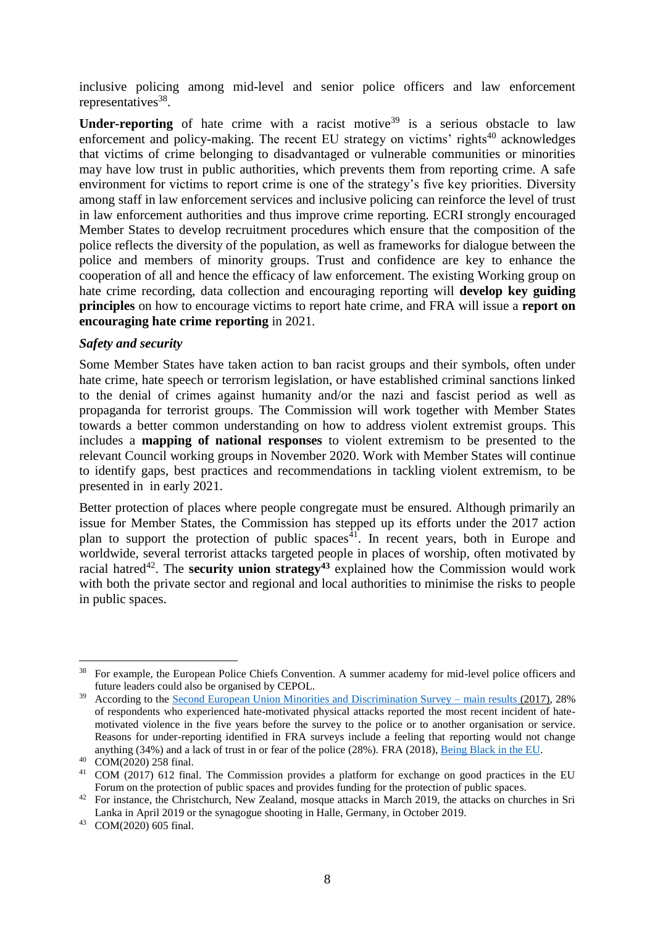inclusive policing among mid-level and senior police officers and law enforcement representatives<sup>38</sup>.

**Under-reporting** of hate crime with a racist motive<sup>39</sup> is a serious obstacle to law enforcement and policy-making. The recent EU strategy on victims' rights<sup>40</sup> acknowledges that victims of crime belonging to disadvantaged or vulnerable communities or minorities may have low trust in public authorities, which prevents them from reporting crime. A safe environment for victims to report crime is one of the strategy's five key priorities. Diversity among staff in law enforcement services and inclusive policing can reinforce the level of trust in law enforcement authorities and thus improve crime reporting. ECRI strongly encouraged Member States to develop recruitment procedures which ensure that the composition of the police reflects the diversity of the population, as well as frameworks for dialogue between the police and members of minority groups. Trust and confidence are key to enhance the cooperation of all and hence the efficacy of law enforcement. The existing Working group on hate crime recording, data collection and encouraging reporting will **develop key guiding principles** on how to encourage victims to report hate crime, and FRA will issue a **report on encouraging hate crime reporting** in 2021.

### *Safety and security*

Some Member States have taken action to ban racist groups and their symbols, often under hate crime, hate speech or terrorism legislation, or have established criminal sanctions linked to the denial of crimes against humanity and/or the nazi and fascist period as well as propaganda for terrorist groups. The Commission will work together with Member States towards a better common understanding on how to address violent extremist groups. This includes a **mapping of national responses** to violent extremism to be presented to the relevant Council working groups in November 2020. Work with Member States will continue to identify gaps, best practices and recommendations in tackling violent extremism, to be presented in in early 2021.

Better protection of places where people congregate must be ensured. Although primarily an issue for Member States, the Commission has stepped up its efforts under the 2017 action plan to support the protection of public spaces<sup>41</sup>. In recent years, both in Europe and worldwide, several terrorist attacks targeted people in places of worship, often motivated by racial hatred<sup>42</sup>. The **security union strategy**<sup>43</sup> explained how the Commission would work with both the private sector and regional and local authorities to minimise the risks to people in public spaces.

<sup>&</sup>lt;u>.</u> <sup>38</sup> For example, the European Police Chiefs Convention. A summer academy for mid-level police officers and future leaders could also be organised by CEPOL.

<sup>&</sup>lt;sup>39</sup> According to the [Second European Union Minorities and Discrimination Survey –](https://fra.europa.eu/en/publication/2017/second-european-union-minorities-and-discrimination-survey-main-results) main results (2017), 28% of respondents who experienced hate-motivated physical attacks reported the most recent incident of hatemotivated violence in the five years before the survey to the police or to another organisation or service. Reasons for under-reporting identified in FRA surveys include a feeling that reporting would not change anything (34%) and a lack of trust in or fear of the police (28%). FRA (2018)[, Being Black in the EU.](https://fra.europa.eu/en/publication/2018/being-black-eu)

<sup>40</sup> COM(2020) 258 final.

<sup>&</sup>lt;sup>41</sup> COM (2017) 612 final. The Commission provides a platform for exchange on good practices in the EU Forum on the protection of public spaces and provides funding for the protection of public spaces.

<sup>&</sup>lt;sup>42</sup> For instance, the Christchurch, New Zealand, mosque attacks in March 2019, the attacks on churches in Sri Lanka in April 2019 or the synagogue shooting in Halle, Germany, in October 2019.

<sup>43</sup> COM(2020) 605 final.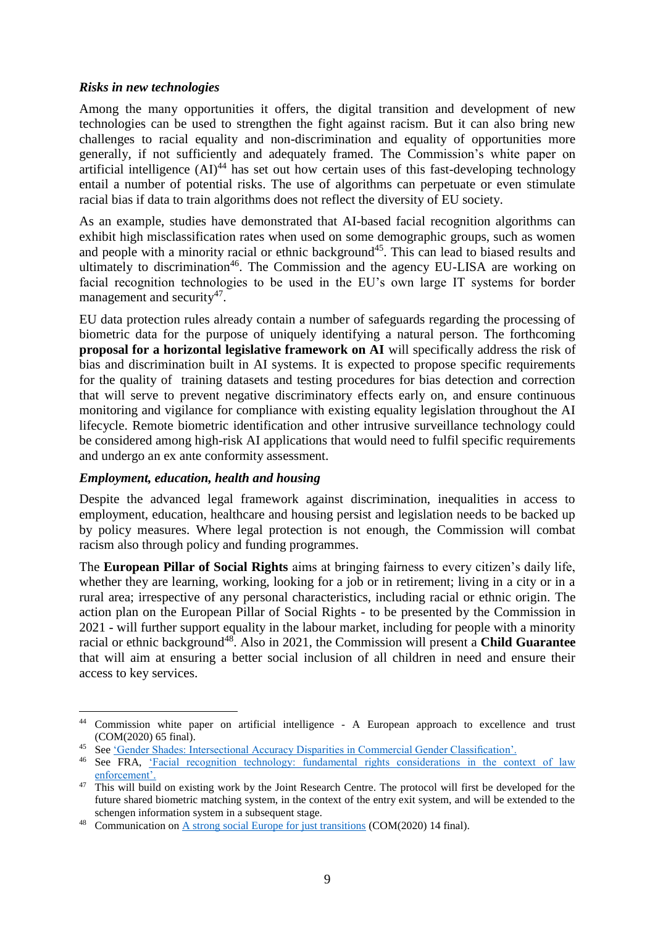#### *Risks in new technologies*

Among the many opportunities it offers, the digital transition and development of new technologies can be used to strengthen the fight against racism. But it can also bring new challenges to racial equality and non-discrimination and equality of opportunities more generally, if not sufficiently and adequately framed. The Commission's white paper on artificial intelligence  $(AI)^{44}$  has set out how certain uses of this fast-developing technology entail a number of potential risks. The use of algorithms can perpetuate or even stimulate racial bias if data to train algorithms does not reflect the diversity of EU society.

As an example, studies have demonstrated that AI-based facial recognition algorithms can exhibit high misclassification rates when used on some demographic groups, such as women and people with a minority racial or ethnic background<sup>45</sup>. This can lead to biased results and ultimately to discrimination<sup>46</sup>. The Commission and the agency EU-LISA are working on facial recognition technologies to be used in the EU's own large IT systems for border management and security<sup>47</sup>.

EU data protection rules already contain a number of safeguards regarding the processing of biometric data for the purpose of uniquely identifying a natural person. The forthcoming **proposal for a horizontal legislative framework on AI** will specifically address the risk of bias and discrimination built in AI systems. It is expected to propose specific requirements for the quality of training datasets and testing procedures for bias detection and correction that will serve to prevent negative discriminatory effects early on, and ensure continuous monitoring and vigilance for compliance with existing equality legislation throughout the AI lifecycle. Remote biometric identification and other intrusive surveillance technology could be considered among high-risk AI applications that would need to fulfil specific requirements and undergo an ex ante conformity assessment.

# *Employment, education, health and housing*

1

Despite the advanced legal framework against discrimination, inequalities in access to employment, education, healthcare and housing persist and legislation needs to be backed up by policy measures. Where legal protection is not enough, the Commission will combat racism also through policy and funding programmes.

The **European Pillar of Social Rights** aims at bringing fairness to every citizen's daily life, whether they are learning, working, looking for a job or in retirement; living in a city or in a rural area; irrespective of any personal characteristics, including racial or ethnic origin. The action plan on the European Pillar of Social Rights - to be presented by the Commission in 2021 - will further support equality in the labour market, including for people with a minority racial or ethnic background<sup>48</sup>. Also in 2021, the Commission will present a **Child Guarantee** that will aim at ensuring a better social inclusion of all children in need and ensure their access to key services.

<sup>44</sup> Commission white paper on artificial intelligence - A European approach to excellence and trust (COM(2020) 65 final).

<sup>45</sup> See ['Gender Shades: Intersectional Accuracy Disparities in Commercial Gender Classification'.](http://proceedings.mlr.press/v81/buolamwini18a/buolamwini18a.pdf) 

<sup>&</sup>lt;sup>46</sup> See FRA, 'Facial recognition technology: fundamental rights considerations in the context of law [enforcement'.](https://fra.europa.eu/sites/default/files/fra_uploads/fra-2019-facial-recognition-technology-focus-paper-1_en.pdf)

<sup>&</sup>lt;sup>47</sup> This will build on existing work by the Joint Research Centre. The protocol will first be developed for the future shared biometric matching system, in the context of the entry exit system, and will be extended to the schengen information system in a subsequent stage.

<sup>48</sup> Communication on [A strong social Europe for just transitions](https://eur-lex.europa.eu/legal-content/GA/TXT/?uri=CELEX:52020DC0014) (COM(2020) 14 final).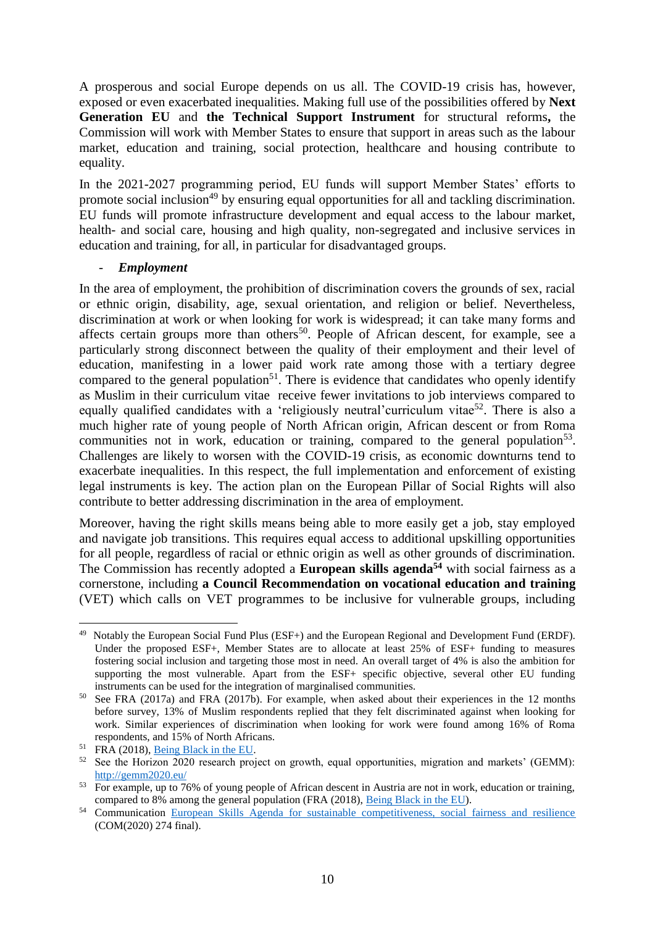A prosperous and social Europe depends on us all. The COVID-19 crisis has, however, exposed or even exacerbated inequalities. Making full use of the possibilities offered by **Next Generation EU** and **the Technical Support Instrument** for structural reforms**,** the Commission will work with Member States to ensure that support in areas such as the labour market, education and training, social protection, healthcare and housing contribute to equality.

In the 2021-2027 programming period, EU funds will support Member States' efforts to promote social inclusion<sup>49</sup> by ensuring equal opportunities for all and tackling discrimination. EU funds will promote infrastructure development and equal access to the labour market, health- and social care, housing and high quality, non-segregated and inclusive services in education and training, for all, in particular for disadvantaged groups.

# - *Employment*

In the area of employment, the prohibition of discrimination covers the grounds of sex, racial or ethnic origin, disability, age, sexual orientation, and religion or belief. Nevertheless, discrimination at work or when looking for work is widespread; it can take many forms and affects certain groups more than others<sup>50</sup>. People of African descent, for example, see a particularly strong disconnect between the quality of their employment and their level of education, manifesting in a lower paid work rate among those with a tertiary degree compared to the general population<sup>51</sup>. There is evidence that candidates who openly identify as Muslim in their curriculum vitae receive fewer invitations to job interviews compared to equally qualified candidates with a 'religiously neutral'curriculum vitae<sup>52</sup>. There is also a much higher rate of young people of North African origin, African descent or from Roma communities not in work, education or training, compared to the general population<sup>53</sup>. Challenges are likely to worsen with the COVID-19 crisis, as economic downturns tend to exacerbate inequalities. In this respect, the full implementation and enforcement of existing legal instruments is key. The action plan on the European Pillar of Social Rights will also contribute to better addressing discrimination in the area of employment.

Moreover, having the right skills means being able to more easily get a job, stay employed and navigate job transitions. This requires equal access to additional upskilling opportunities for all people, regardless of racial or ethnic origin as well as other grounds of discrimination. The Commission has recently adopted a **European skills agenda<sup>54</sup>** with social fairness as a cornerstone, including **a Council Recommendation on vocational education and training** (VET) which calls on VET programmes to be inclusive for vulnerable groups, including

<sup>&</sup>lt;u>.</u> <sup>49</sup> Notably the European Social Fund Plus (ESF+) and the European Regional and Development Fund (ERDF). Under the proposed ESF+, Member States are to allocate at least 25% of ESF+ funding to measures fostering social inclusion and targeting those most in need. An overall target of 4% is also the ambition for supporting the most vulnerable. Apart from the ESF+ specific objective, several other EU funding instruments can be used for the integration of marginalised communities.

<sup>50</sup> See FRA (2017a) and FRA (2017b). For example, when asked about their experiences in the 12 months before survey, 13% of Muslim respondents replied that they felt discriminated against when looking for work. Similar experiences of discrimination when looking for work were found among 16% of Roma respondents, and 15% of North Africans.

<sup>&</sup>lt;sup>51</sup> FRA (2018), <u>Being Black in the EU</u>.

<sup>&</sup>lt;sup>52</sup> See the Horizon 2020 research project on growth, equal opportunities, migration and markets' (GEMM): <http://gemm2020.eu/>

 $53$  For example, up to 76% of young people of African descent in Austria are not in work, education or training, compared to 8% among the general population (FRA (2018), [Being Black in the EU\)](https://fra.europa.eu/en/publication/2018/being-black-eu).

<sup>&</sup>lt;sup>54</sup> Communication [European Skills Agenda for sustainable competitiveness, social fairness and resilience](https://ec.europa.eu/social/BlobServlet?docId=22832&langId=en) (COM(2020) 274 final).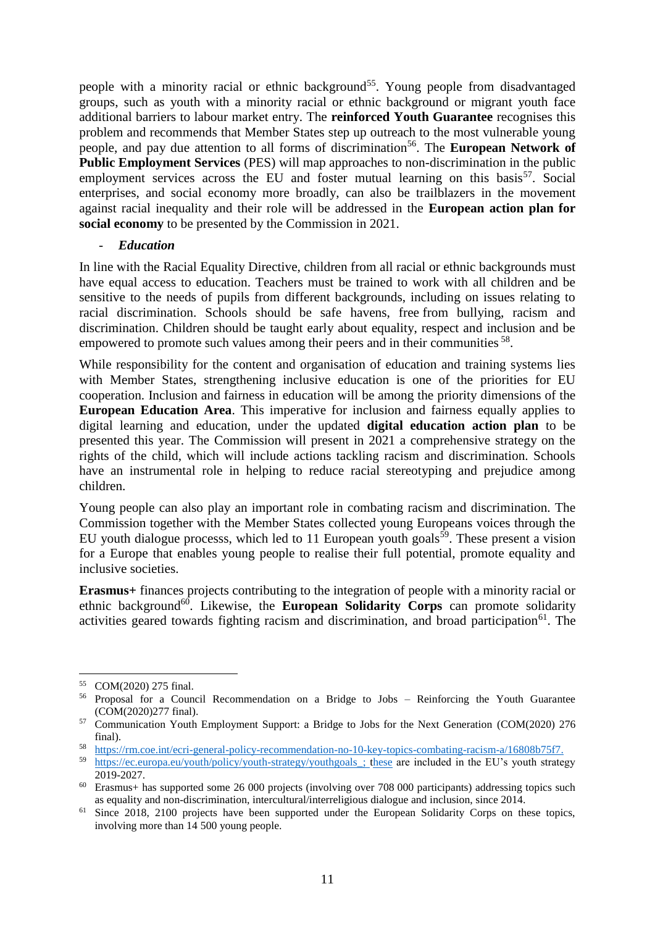people with a minority racial or ethnic background<sup>55</sup>. Young people from disadvantaged groups, such as youth with a minority racial or ethnic background or migrant youth face additional barriers to labour market entry. The **reinforced Youth Guarantee** recognises this problem and recommends that Member States step up outreach to the most vulnerable young people, and pay due attention to all forms of discrimination<sup>56</sup>. The **European Network of Public Employment Services** (PES) will map approaches to non-discrimination in the public employment services across the EU and foster mutual learning on this basis<sup>57</sup>. Social enterprises, and social economy more broadly, can also be trailblazers in the movement against racial inequality and their role will be addressed in the **European action plan for social economy** to be presented by the Commission in 2021.

#### - *Education*

In line with the Racial Equality Directive, children from all racial or ethnic backgrounds must have equal access to education. Teachers must be trained to work with all children and be sensitive to the needs of pupils from different backgrounds, including on issues relating to racial discrimination. Schools should be safe havens, free from bullying, racism and discrimination. Children should be taught early about equality, respect and inclusion and be empowered to promote such values among their peers and in their communities <sup>58</sup>.

While responsibility for the content and organisation of education and training systems lies with Member States, strengthening inclusive education is one of the priorities for EU cooperation. Inclusion and fairness in education will be among the priority dimensions of the **European Education Area**. This imperative for inclusion and fairness equally applies to digital learning and education, under the updated **digital education action plan** to be presented this year. The Commission will present in 2021 a comprehensive strategy on the rights of the child, which will include actions tackling racism and discrimination. Schools have an instrumental role in helping to reduce racial stereotyping and prejudice among children.

Young people can also play an important role in combating racism and discrimination. The Commission together with the Member States collected young Europeans voices through the EU youth dialogue processs, which led to 11 European youth goals<sup>59</sup>. These present a vision for a Europe that enables young people to realise their full potential, promote equality and inclusive societies.

**Erasmus+** finances projects contributing to the integration of people with a minority racial or ethnic background<sup>60</sup>. Likewise, the **European Solidarity Corps** can promote solidarity activities geared towards fighting racism and discrimination, and broad participation<sup>61</sup>. The

<sup>55</sup> COM(2020) 275 final.

<sup>56</sup> Proposal for a Council Recommendation on a Bridge to Jobs – Reinforcing the Youth Guarantee (COM(2020)277 final).

<sup>&</sup>lt;sup>57</sup> Communication Youth Employment Support: a Bridge to Jobs for the Next Generation (COM(2020) 276 final).

<sup>58</sup> [https://rm.coe.int/ecri-general-policy-recommendation-no-10-key-topics-combating-racism-a/16808b75f7.](https://rm.coe.int/ecri-general-policy-recommendation-no-10-key-topics-combating-racism-a/16808b75f7)

<sup>&</sup>lt;sup>59</sup> https://ec.europa.eu/youth/policy/youth-strategy/youthgoals ; these are included in the EU's youth strategy 2019-2027.

 $60$  Erasmus+ has supported some 26 000 projects (involving over 708 000 participants) addressing topics such as equality and non-discrimination, intercultural/interreligious dialogue and inclusion, since 2014.

<sup>&</sup>lt;sup>61</sup> Since 2018, 2100 projects have been supported under the European Solidarity Corps on these topics, involving more than 14 500 young people.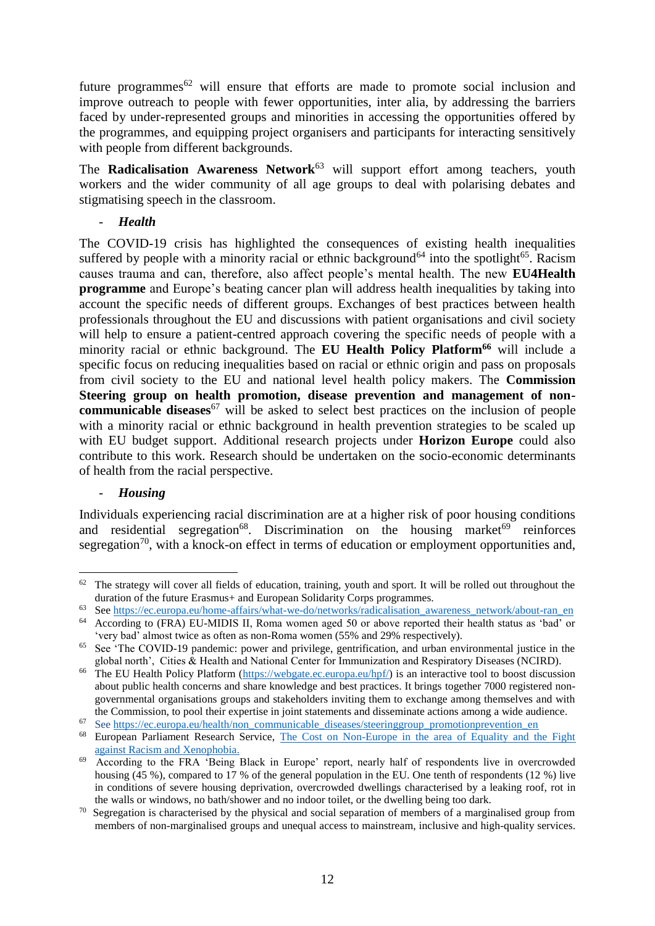future programmes<sup>62</sup> will ensure that efforts are made to promote social inclusion and improve outreach to people with fewer opportunities, inter alia, by addressing the barriers faced by under-represented groups and minorities in accessing the opportunities offered by the programmes, and equipping project organisers and participants for interacting sensitively with people from different backgrounds.

The **Radicalisation Awareness Network**<sup>63</sup> will support effort among teachers, youth workers and the wider community of all age groups to deal with polarising debates and stigmatising speech in the classroom.

# - *Health*

The COVID-19 crisis has highlighted the consequences of existing health inequalities suffered by people with a minority racial or ethnic background<sup>64</sup> into the spotlight<sup>65</sup>. Racism causes trauma and can, therefore, also affect people's mental health. The new **EU4Health programme** and Europe's beating cancer plan will address health inequalities by taking into account the specific needs of different groups. Exchanges of best practices between health professionals throughout the EU and discussions with patient organisations and civil society will help to ensure a patient-centred approach covering the specific needs of people with a minority racial or ethnic background. The **EU Health Policy Platform<sup>66</sup>** will include a specific focus on reducing inequalities based on racial or ethnic origin and pass on proposals from civil society to the EU and national level health policy makers. The **Commission Steering group on health promotion, disease prevention and management of noncommunicable diseases**<sup>67</sup> will be asked to select best practices on the inclusion of people with a minority racial or ethnic background in health prevention strategies to be scaled up with EU budget support. Additional research projects under **Horizon Europe** could also contribute to this work. Research should be undertaken on the socio-economic determinants of health from the racial perspective.

#### - *Housing*

<u>.</u>

Individuals experiencing racial discrimination are at a higher risk of poor housing conditions and residential segregation<sup>68</sup>. Discrimination on the housing market<sup>69</sup> reinforces segregation<sup>70</sup>, with a knock-on effect in terms of education or employment opportunities and,

<sup>&</sup>lt;sup>62</sup> The strategy will cover all fields of education, training, youth and sport. It will be rolled out throughout the duration of the future Erasmus+ and European Solidarity Corps programmes.

<sup>63</sup> See [https://ec.europa.eu/home-affairs/what-we-do/networks/radicalisation\\_awareness\\_network/about-ran\\_en](https://ec.europa.eu/home-affairs/what-we-do/networks/radicalisation_awareness_network/about-ran_en)

<sup>64</sup> According to (FRA) EU-MIDIS II, Roma women aged 50 or above reported their health status as 'bad' or 'very bad' almost twice as often as non-Roma women (55% and 29% respectively).

<sup>&</sup>lt;sup>65</sup> See 'The COVID-19 pandemic: power and privilege, gentrification, and urban environmental justice in the global north', Cities & Health and National Center for Immunization and Respiratory Diseases (NCIRD).

<sup>&</sup>lt;sup>66</sup> The EU Health Policy Platform ( $\frac{https://webgate.e.c.europa.eu/hpf/}{https://webgate.e.ce.uropa.eu/hpf/}$ ) is an interactive tool to boost discussion about public health concerns and share knowledge and best practices. It brings together 7000 registered nongovernmental organisations groups and stakeholders inviting them to exchange among themselves and with the Commission, to pool their expertise in joint statements and disseminate actions among a wide audience.

See [https://ec.europa.eu/health/non\\_communicable\\_diseases/steeringgroup\\_promotionprevention\\_en](https://ec.europa.eu/health/non_communicable_diseases/steeringgroup_promotionprevention_en)

<sup>68</sup> European Parliament Research Service, [The Cost on Non-Europe in the area of Equality and the Fight](https://www.europarl.europa.eu/RegData/etudes/STUD/2018/615660/EPRS_STU(2018)615660_EN.pdf)  [against Racism and Xenophobia.](https://www.europarl.europa.eu/RegData/etudes/STUD/2018/615660/EPRS_STU(2018)615660_EN.pdf)

<sup>69</sup> According to the FRA 'Being Black in Europe' report, nearly half of respondents live in overcrowded housing (45 %), compared to 17 % of the general population in the EU. One tenth of respondents (12 %) live in conditions of severe housing deprivation, overcrowded dwellings characterised by a leaking roof, rot in the walls or windows, no bath/shower and no indoor toilet, or the dwelling being too dark.

<sup>70</sup> Segregation is characterised by the physical and social separation of members of a marginalised group from members of non-marginalised groups and unequal access to mainstream, inclusive and high-quality services.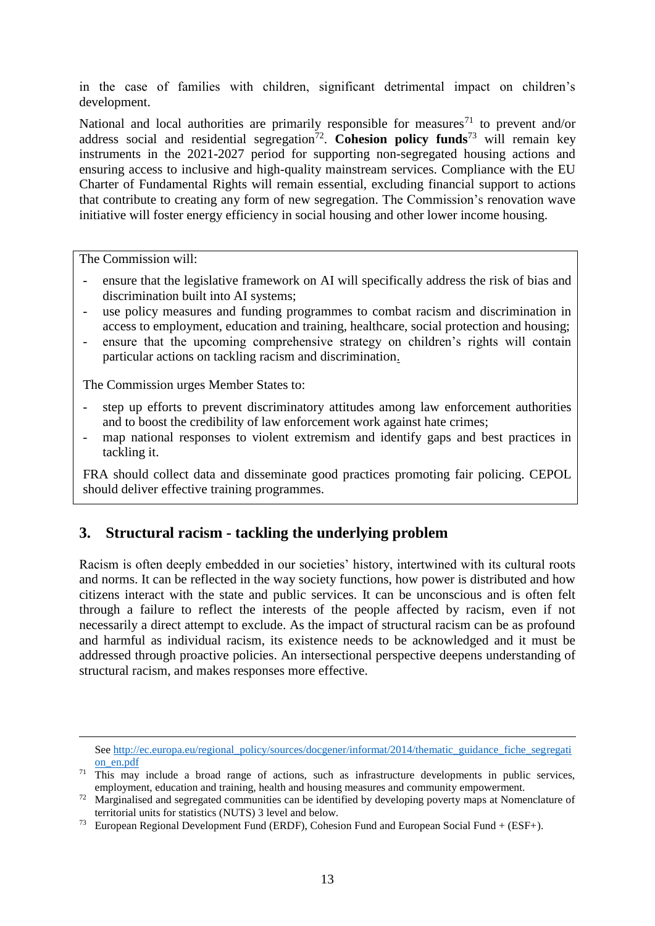in the case of families with children, significant detrimental impact on children's development.

National and local authorities are primarily responsible for measures<sup>71</sup> to prevent and/or address social and residential segregation<sup>72</sup>. Cohesion policy funds<sup>73</sup> will remain key instruments in the 2021-2027 period for supporting non-segregated housing actions and ensuring access to inclusive and high-quality mainstream services. Compliance with the EU Charter of Fundamental Rights will remain essential, excluding financial support to actions that contribute to creating any form of new segregation. The Commission's renovation wave initiative will foster energy efficiency in social housing and other lower income housing.

The Commission will:

<u>.</u>

- ensure that the legislative framework on AI will specifically address the risk of bias and discrimination built into AI systems;
- use policy measures and funding programmes to combat racism and discrimination in access to employment, education and training, healthcare, social protection and housing;
- ensure that the upcoming comprehensive strategy on children's rights will contain particular actions on tackling racism and discrimination.

The Commission urges Member States to:

- step up efforts to prevent discriminatory attitudes among law enforcement authorities and to boost the credibility of law enforcement work against hate crimes;
- map national responses to violent extremism and identify gaps and best practices in tackling it.

FRA should collect data and disseminate good practices promoting fair policing. CEPOL should deliver effective training programmes.

# **3. Structural racism - tackling the underlying problem**

Racism is often deeply embedded in our societies' history, intertwined with its cultural roots and norms. It can be reflected in the way society functions, how power is distributed and how citizens interact with the state and public services. It can be unconscious and is often felt through a failure to reflect the interests of the people affected by racism, even if not necessarily a direct attempt to exclude. As the impact of structural racism can be as profound and harmful as individual racism, its existence needs to be acknowledged and it must be addressed through proactive policies. An intersectional perspective deepens understanding of structural racism, and makes responses more effective.

See [http://ec.europa.eu/regional\\_policy/sources/docgener/informat/2014/thematic\\_guidance\\_fiche\\_segregati](http://ec.europa.eu/regional_policy/sources/docgener/informat/2014/thematic_guidance_fiche_segregation_en.pdf) [on\\_en.pdf](http://ec.europa.eu/regional_policy/sources/docgener/informat/2014/thematic_guidance_fiche_segregation_en.pdf)

<sup>&</sup>lt;sup>71</sup> This may include a broad range of actions, such as infrastructure developments in public services, employment, education and training, health and housing measures and community empowerment.

<sup>&</sup>lt;sup>72</sup> Marginalised and segregated communities can be identified by developing poverty maps at Nomenclature of territorial units for statistics (NUTS) 3 level and below.

<sup>&</sup>lt;sup>73</sup> European Regional Development Fund (ERDF), Cohesion Fund and European Social Fund  $+$  (ESF+).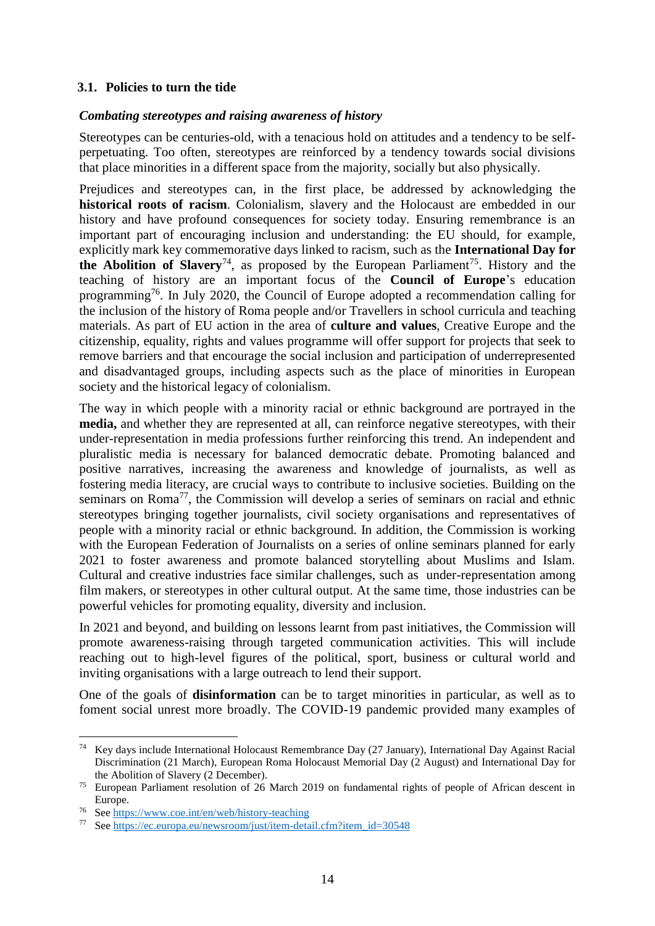# **3.1. Policies to turn the tide**

#### *Combating stereotypes and raising awareness of history*

Stereotypes can be centuries-old, with a tenacious hold on attitudes and a tendency to be selfperpetuating. Too often, stereotypes are reinforced by a tendency towards social divisions that place minorities in a different space from the majority, socially but also physically.

Prejudices and stereotypes can, in the first place, be addressed by acknowledging the **historical roots of racism**. Colonialism, slavery and the Holocaust are embedded in our history and have profound consequences for society today. Ensuring remembrance is an important part of encouraging inclusion and understanding: the EU should, for example, explicitly mark key commemorative days linked to racism, such as the **International Day for the Abolition of Slavery**<sup>74</sup>, as proposed by the European Parliament<sup>75</sup>. History and the teaching of history are an important focus of the **Council of Europe**'s education programming<sup>76</sup>. In July 2020, the Council of Europe adopted a recommendation calling for the inclusion of the history of Roma people and/or Travellers in school curricula and teaching materials. As part of EU action in the area of **culture and values**, Creative Europe and the citizenship, equality, rights and values programme will offer support for projects that seek to remove barriers and that encourage the social inclusion and participation of underrepresented and disadvantaged groups, including aspects such as the place of minorities in European society and the historical legacy of colonialism.

The way in which people with a minority racial or ethnic background are portrayed in the **media,** and whether they are represented at all, can reinforce negative stereotypes, with their under-representation in media professions further reinforcing this trend. An independent and pluralistic media is necessary for balanced democratic debate. Promoting balanced and positive narratives, increasing the awareness and knowledge of journalists, as well as fostering media literacy, are crucial ways to contribute to inclusive societies. Building on the seminars on Roma<sup>77</sup>, the Commission will develop a series of seminars on racial and ethnic stereotypes bringing together journalists, civil society organisations and representatives of people with a minority racial or ethnic background. In addition, the Commission is working with the European Federation of Journalists on a series of online seminars planned for early 2021 to foster awareness and promote balanced storytelling about Muslims and Islam. Cultural and creative industries face similar challenges, such as under-representation among film makers, or stereotypes in other cultural output. At the same time, those industries can be powerful vehicles for promoting equality, diversity and inclusion.

In 2021 and beyond, and building on lessons learnt from past initiatives, the Commission will promote awareness-raising through targeted communication activities. This will include reaching out to high-level figures of the political, sport, business or cultural world and inviting organisations with a large outreach to lend their support.

One of the goals of **disinformation** can be to target minorities in particular, as well as to foment social unrest more broadly. The COVID-19 pandemic provided many examples of

<u>.</u>

<sup>&</sup>lt;sup>74</sup> Key days include International Holocaust Remembrance Day (27 January), International Day Against Racial Discrimination (21 March), European Roma Holocaust Memorial Day (2 August) and International Day for the Abolition of Slavery (2 December).

<sup>75</sup> European Parliament resolution of 26 March 2019 on fundamental rights of people of African descent in Europe.

<sup>76</sup> See<https://www.coe.int/en/web/history-teaching>

<sup>77</sup> See [https://ec.europa.eu/newsroom/just/item-detail.cfm?item\\_id=30548](https://ec.europa.eu/newsroom/just/item-detail.cfm?item_id=30548)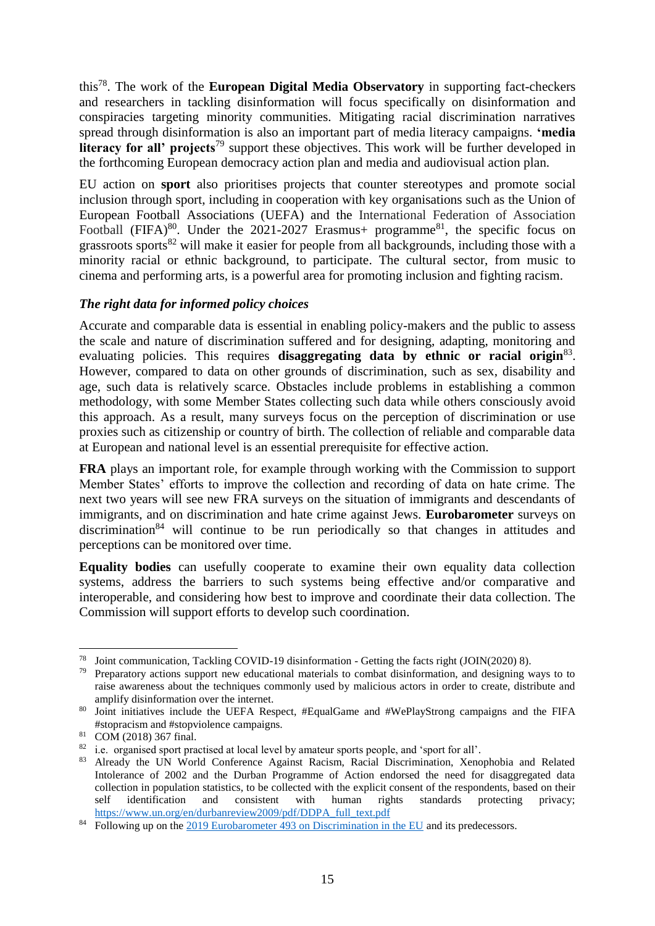this<sup>78</sup>. The work of the **European Digital Media Observatory** in supporting fact-checkers and researchers in tackling disinformation will focus specifically on disinformation and conspiracies targeting minority communities. Mitigating racial discrimination narratives spread through disinformation is also an important part of media literacy campaigns. **'media**  literacy for all' projects<sup>79</sup> support these objectives. This work will be further developed in the forthcoming European democracy action plan and media and audiovisual action plan.

EU action on **sport** also prioritises projects that counter stereotypes and promote social inclusion through sport, including in cooperation with key organisations such as the Union of European Football Associations (UEFA) and the International Federation of Association Football (FIFA)<sup>80</sup>. Under the 2021-2027 Erasmus+ programme<sup>81</sup>, the specific focus on grassroots sports<sup>82</sup> will make it easier for people from all backgrounds, including those with a minority racial or ethnic background, to participate. The cultural sector, from music to cinema and performing arts, is a powerful area for promoting inclusion and fighting racism.

# *The right data for informed policy choices*

Accurate and comparable data is essential in enabling policy-makers and the public to assess the scale and nature of discrimination suffered and for designing, adapting, monitoring and evaluating policies. This requires **disaggregating data by ethnic or racial origin**<sup>83</sup>. However, compared to data on other grounds of discrimination, such as sex, disability and age, such data is relatively scarce. Obstacles include problems in establishing a common methodology, with some Member States collecting such data while others consciously avoid this approach. As a result, many surveys focus on the perception of discrimination or use proxies such as citizenship or country of birth. The collection of reliable and comparable data at European and national level is an essential prerequisite for effective action.

**FRA** plays an important role, for example through working with the Commission to support Member States' efforts to improve the collection and recording of data on hate crime. The next two years will see new FRA surveys on the situation of immigrants and descendants of immigrants, and on discrimination and hate crime against Jews. **Eurobarometer** surveys on  $discrimination<sup>84</sup>$  will continue to be run periodically so that changes in attitudes and perceptions can be monitored over time.

**Equality bodies** can usefully cooperate to examine their own equality data collection systems, address the barriers to such systems being effective and/or comparative and interoperable, and considering how best to improve and coordinate their data collection. The Commission will support efforts to develop such coordination.

<u>.</u>

<sup>78</sup> Joint communication, Tackling COVID-19 disinformation - Getting the facts right (JOIN(2020) 8).

<sup>&</sup>lt;sup>79</sup> Preparatory actions support new educational materials to combat disinformation, and designing ways to to raise awareness about the techniques commonly used by malicious actors in order to create, distribute and amplify disinformation over the internet.

<sup>80</sup> Joint initiatives include the UEFA Respect, #EqualGame and #WePlayStrong campaigns and the FIFA #stopracism and #stopviolence campaigns.

<sup>81</sup> COM (2018) 367 final.

<sup>&</sup>lt;sup>82</sup> i.e. organised sport practised at local level by amateur sports people, and 'sport for all'.<br><sup>83</sup> Already, the JIN World, Conference, Agginat, Beginn, Beginl, Discrimination, Yong

<sup>83</sup> Already the UN World Conference Against Racism, Racial Discrimination, Xenophobia and Related Intolerance of 2002 and the Durban Programme of Action endorsed the need for disaggregated data collection in population statistics, to be collected with the explicit consent of the respondents, based on their self identification and consistent with human rights standards protecting privacy; [https://www.un.org/en/durbanreview2009/pdf/DDPA\\_full\\_text.pdf](https://www.un.org/en/durbanreview2009/pdf/DDPA_full_text.pdf)

<sup>&</sup>lt;sup>84</sup> Following up on the [2019 Eurobarometer 493 on Discrimination in the EU](https://ec.europa.eu/commfrontoffice/publicopinion/index.cfm/survey/getsurveydetail/instruments/special/surveyky/2251) and its predecessors.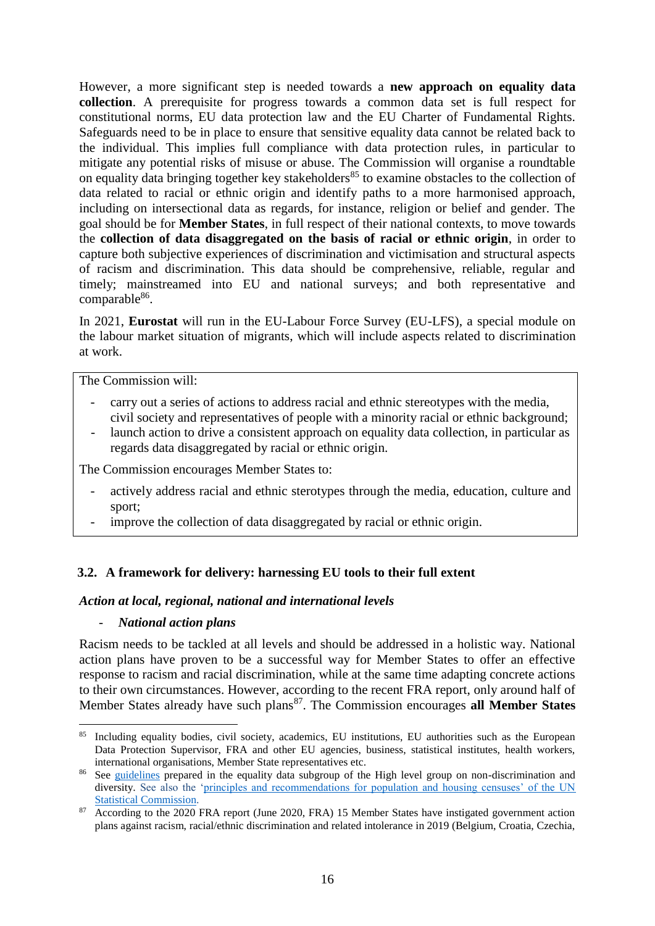However, a more significant step is needed towards a **new approach on equality data collection**. A prerequisite for progress towards a common data set is full respect for constitutional norms, EU data protection law and the EU Charter of Fundamental Rights. Safeguards need to be in place to ensure that sensitive equality data cannot be related back to the individual. This implies full compliance with data protection rules, in particular to mitigate any potential risks of misuse or abuse. The Commission will organise a roundtable on equality data bringing together key stakeholders<sup>85</sup> to examine obstacles to the collection of data related to racial or ethnic origin and identify paths to a more harmonised approach, including on intersectional data as regards, for instance, religion or belief and gender. The goal should be for **Member States**, in full respect of their national contexts, to move towards the **collection of data disaggregated on the basis of racial or ethnic origin**, in order to capture both subjective experiences of discrimination and victimisation and structural aspects of racism and discrimination. This data should be comprehensive, reliable, regular and timely; mainstreamed into EU and national surveys; and both representative and comparable<sup>86</sup>.

In 2021, **Eurostat** will run in the EU-Labour Force Survey (EU-LFS), a special module on the labour market situation of migrants, which will include aspects related to discrimination at work.

The Commission will:

- carry out a series of actions to address racial and ethnic stereotypes with the media, civil society and representatives of people with a minority racial or ethnic background;
- launch action to drive a consistent approach on equality data collection, in particular as regards data disaggregated by racial or ethnic origin.

The Commission encourages Member States to:

- actively address racial and ethnic sterotypes through the media, education, culture and sport;
- improve the collection of data disaggregated by racial or ethnic origin.

# **3.2. A framework for delivery: harnessing EU tools to their full extent**

#### *Action at local, regional, national and international levels*

#### - *National action plans*

Racism needs to be tackled at all levels and should be addressed in a holistic way. National action plans have proven to be a successful way for Member States to offer an effective response to racism and racial discrimination, while at the same time adapting concrete actions to their own circumstances. However, according to the recent FRA report, only around half of Member States already have such plans<sup>87</sup>. The Commission encourages **all Member States** 

<sup>1</sup> <sup>85</sup> Including equality bodies, civil society, academics, EU institutions, EU authorities such as the European Data Protection Supervisor, FRA and other EU agencies, business, statistical institutes, health workers, international organisations, Member State representatives etc.

<sup>&</sup>lt;sup>86</sup> See [guidelines](https://ec.europa.eu/info/sites/info/files/final_guidelines_4-10-18_without_date_july.pdf) prepared in the equality data subgroup of the High level group on non-discrimination and diversity. See also the ['principles and recommendations for population and housing censuses' of the UN](https://unstats.un.org/unsd/demographic-social/Standards-and-Methods/files/Principles_and_Recommendations/Population-and-Housing-Censuses/Series_M67rev3-E.pdf)  [Statistical Commission.](https://unstats.un.org/unsd/demographic-social/Standards-and-Methods/files/Principles_and_Recommendations/Population-and-Housing-Censuses/Series_M67rev3-E.pdf)

<sup>87</sup> According to the 2020 FRA report (June 2020, FRA) 15 Member States have instigated government action plans against racism, racial/ethnic discrimination and related intolerance in 2019 (Belgium, Croatia, Czechia,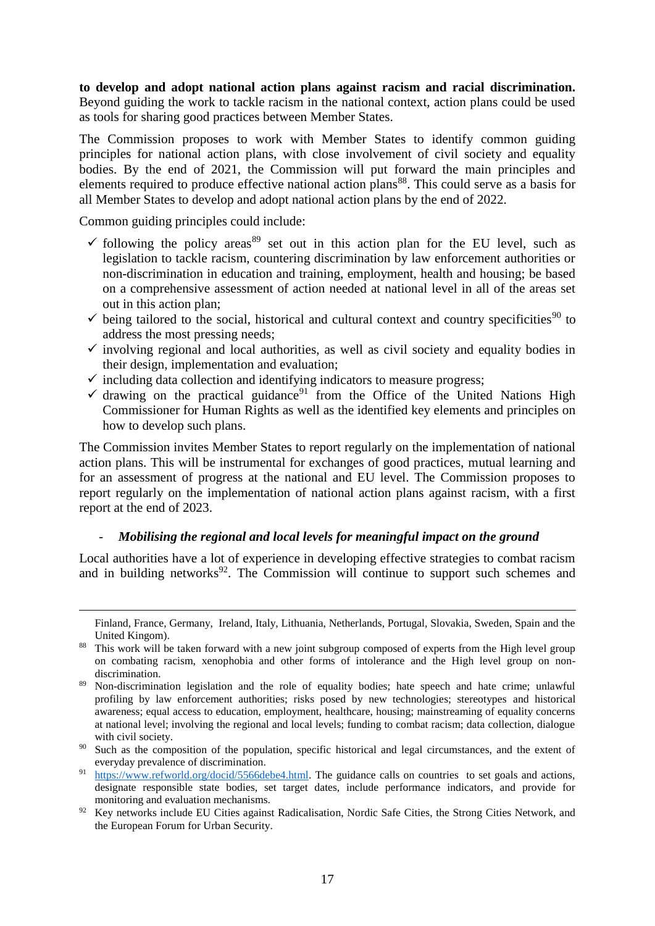**to develop and adopt national action plans against racism and racial discrimination.** Beyond guiding the work to tackle racism in the national context, action plans could be used as tools for sharing good practices between Member States.

The Commission proposes to work with Member States to identify common guiding principles for national action plans, with close involvement of civil society and equality bodies. By the end of 2021, the Commission will put forward the main principles and elements required to produce effective national action plans<sup>88</sup>. This could serve as a basis for all Member States to develop and adopt national action plans by the end of 2022.

Common guiding principles could include:

1

- $\checkmark$  following the policy areas<sup>89</sup> set out in this action plan for the EU level, such as legislation to tackle racism, countering discrimination by law enforcement authorities or non-discrimination in education and training, employment, health and housing; be based on a comprehensive assessment of action needed at national level in all of the areas set out in this action plan;
- $\checkmark$  being tailored to the social, historical and cultural context and country specificities<sup>90</sup> to address the most pressing needs;
- $\checkmark$  involving regional and local authorities, as well as civil society and equality bodies in their design, implementation and evaluation;
- $\checkmark$  including data collection and identifying indicators to measure progress;
- $\checkmark$  drawing on the practical guidance<sup>91</sup> from the Office of the United Nations High Commissioner for Human Rights as well as the identified key elements and principles on how to develop such plans.

The Commission invites Member States to report regularly on the implementation of national action plans. This will be instrumental for exchanges of good practices, mutual learning and for an assessment of progress at the national and EU level. The Commission proposes to report regularly on the implementation of national action plans against racism, with a first report at the end of 2023.

#### - *Mobilising the regional and local levels for meaningful impact on the ground*

Local authorities have a lot of experience in developing effective strategies to combat racism and in building networks<sup>92</sup>. The Commission will continue to support such schemes and

Finland, France, Germany, Ireland, Italy, Lithuania, Netherlands, Portugal, Slovakia, Sweden, Spain and the United Kingom).

<sup>&</sup>lt;sup>88</sup> This work will be taken forward with a new joint subgroup composed of experts from the High level group on combating racism, xenophobia and other forms of intolerance and the High level group on nondiscrimination.

<sup>89</sup> Non-discrimination legislation and the role of equality bodies; hate speech and hate crime; unlawful profiling by law enforcement authorities; risks posed by new technologies; stereotypes and historical awareness; equal access to education, employment, healthcare, housing; mainstreaming of equality concerns at national level; involving the regional and local levels; funding to combat racism; data collection, dialogue with civil society.

<sup>&</sup>lt;sup>90</sup> Such as the composition of the population, specific historical and legal circumstances, and the extent of everyday prevalence of discrimination.

<sup>91</sup> [https://www.refworld.org/docid/5566debe4.html.](https://www.refworld.org/docid/5566debe4.html) The guidance calls on countries to set goals and actions, designate responsible state bodies, set target dates, include performance indicators, and provide for monitoring and evaluation mechanisms.

<sup>&</sup>lt;sup>92</sup> Key networks include EU Cities against Radicalisation, Nordic Safe Cities, the Strong Cities Network, and the European Forum for Urban Security.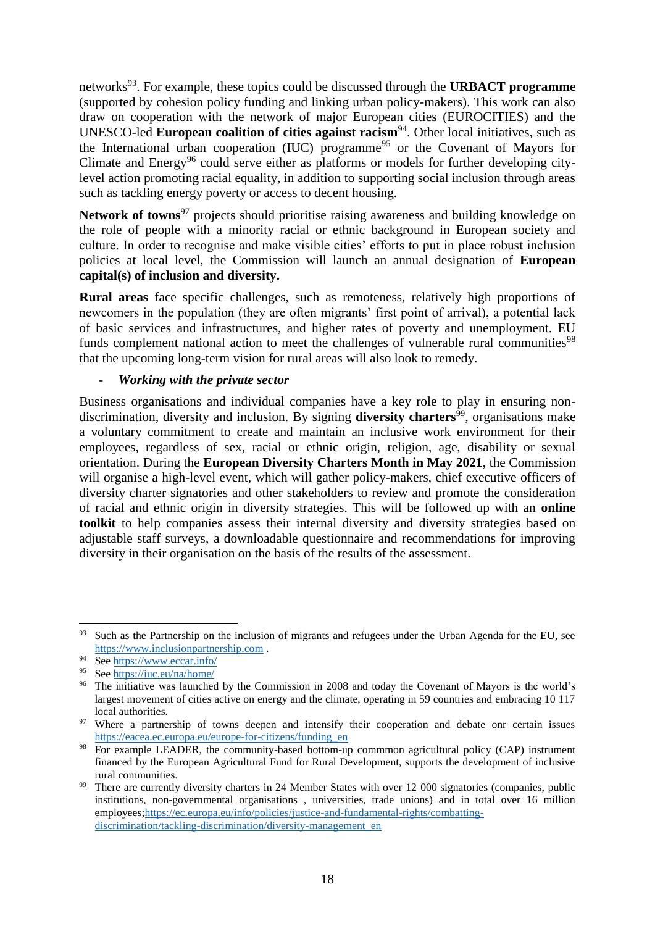networks<sup>93</sup>. For example, these topics could be discussed through the **URBACT** programme (supported by cohesion policy funding and linking urban policy-makers). This work can also draw on cooperation with the network of major European cities (EUROCITIES) and the UNESCO-led **European coalition of cities against racism**<sup>94</sup>. Other local initiatives, such as the International urban cooperation (IUC) programme<sup>95</sup> or the Covenant of Mayors for Climate and Energy<sup>96</sup> could serve either as platforms or models for further developing citylevel action promoting racial equality, in addition to supporting social inclusion through areas such as tackling energy poverty or access to decent housing.

Network of towns<sup>97</sup> projects should prioritise raising awareness and building knowledge on the role of people with a minority racial or ethnic background in European society and culture. In order to recognise and make visible cities' efforts to put in place robust inclusion policies at local level, the Commission will launch an annual designation of **European capital(s) of inclusion and diversity.**

**Rural areas** face specific challenges, such as remoteness, relatively high proportions of newcomers in the population (they are often migrants' first point of arrival), a potential lack of basic services and infrastructures, and higher rates of poverty and unemployment. EU funds complement national action to meet the challenges of vulnerable rural communities<sup>98</sup> that the upcoming long-term vision for rural areas will also look to remedy.

# - *Working with the private sector*

Business organisations and individual companies have a key role to play in ensuring nondiscrimination, diversity and inclusion. By signing **diversity charters**<sup>99</sup>, organisations make a voluntary commitment to create and maintain an inclusive work environment for their employees, regardless of sex, racial or ethnic origin, religion, age, disability or sexual orientation. During the **European Diversity Charters Month in May 2021**, the Commission will organise a high-level event, which will gather policy-makers, chief executive officers of diversity charter signatories and other stakeholders to review and promote the consideration of racial and ethnic origin in diversity strategies. This will be followed up with an **online toolkit** to help companies assess their internal diversity and diversity strategies based on adjustable staff surveys, a downloadable questionnaire and recommendations for improving diversity in their organisation on the basis of the results of the assessment.

<u>.</u>

<sup>&</sup>lt;sup>93</sup> Such as the Partnership on the inclusion of migrants and refugees under the Urban Agenda for the EU, see [https://www.inclusionpartnership.com](https://www.inclusionpartnership.com/) .

<sup>94</sup> See<https://www.eccar.info/>

<sup>95</sup> See<https://iuc.eu/na/home/>

<sup>&</sup>lt;sup>96</sup> The initiative was launched by the Commission in 2008 and today the Covenant of Mayors is the world's largest movement of cities active on energy and the climate, operating in 59 countries and embracing 10 117 local authorities.

<sup>&</sup>lt;sup>97</sup> Where a partnership of towns deepen and intensify their cooperation and debate onr certain issues [https://eacea.ec.europa.eu/europe-for-citizens/funding\\_en](https://eacea.ec.europa.eu/europe-for-citizens/funding_en)

<sup>&</sup>lt;sup>98</sup> For example LEADER, the community-based bottom-up commmon agricultural policy (CAP) instrument financed by the European Agricultural Fund for Rural Development, supports the development of inclusive rural communities.

<sup>&</sup>lt;sup>99</sup> There are currently diversity charters in 24 Member States with over 12 000 signatories (companies, public institutions, non-governmental organisations , universities, trade unions) and in total over 16 million employees[;https://ec.europa.eu/info/policies/justice-and-fundamental-rights/combatting](https://ec.europa.eu/info/policies/justice-and-fundamental-rights/combatting-discrimination/tackling-discrimination/diversity-management_en)[discrimination/tackling-discrimination/diversity-management\\_en](https://ec.europa.eu/info/policies/justice-and-fundamental-rights/combatting-discrimination/tackling-discrimination/diversity-management_en)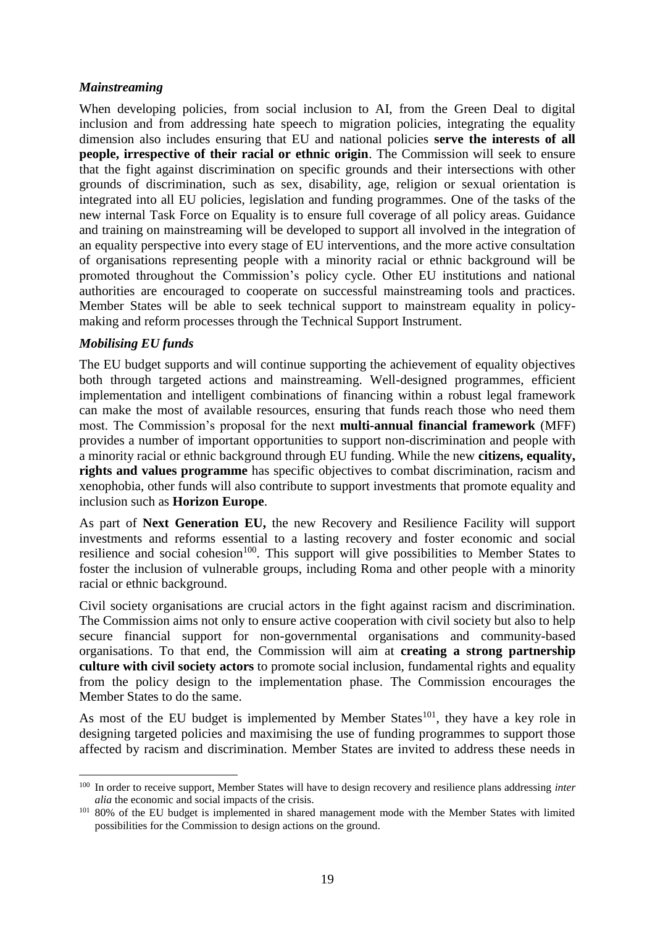# *Mainstreaming*

When developing policies, from social inclusion to AI, from the Green Deal to digital inclusion and from addressing hate speech to migration policies, integrating the equality dimension also includes ensuring that EU and national policies **serve the interests of all people, irrespective of their racial or ethnic origin**. The Commission will seek to ensure that the fight against discrimination on specific grounds and their intersections with other grounds of discrimination, such as sex, disability, age, religion or sexual orientation is integrated into all EU policies, legislation and funding programmes. One of the tasks of the new internal Task Force on Equality is to ensure full coverage of all policy areas. Guidance and training on mainstreaming will be developed to support all involved in the integration of an equality perspective into every stage of EU interventions, and the more active consultation of organisations representing people with a minority racial or ethnic background will be promoted throughout the Commission's policy cycle. Other EU institutions and national authorities are encouraged to cooperate on successful mainstreaming tools and practices. Member States will be able to seek technical support to mainstream equality in policymaking and reform processes through the Technical Support Instrument.

# *Mobilising EU funds*

1

The EU budget supports and will continue supporting the achievement of equality objectives both through targeted actions and mainstreaming. Well-designed programmes, efficient implementation and intelligent combinations of financing within a robust legal framework can make the most of available resources, ensuring that funds reach those who need them most. The Commission's proposal for the next **multi-annual financial framework** (MFF) provides a number of important opportunities to support non-discrimination and people with a minority racial or ethnic background through EU funding. While the new **citizens, equality, rights and values programme** has specific objectives to combat discrimination, racism and xenophobia, other funds will also contribute to support investments that promote equality and inclusion such as **Horizon Europe**.

As part of **Next Generation EU,** the new Recovery and Resilience Facility will support investments and reforms essential to a lasting recovery and foster economic and social resilience and social cohesion<sup>100</sup>. This support will give possibilities to Member States to foster the inclusion of vulnerable groups, including Roma and other people with a minority racial or ethnic background.

Civil society organisations are crucial actors in the fight against racism and discrimination. The Commission aims not only to ensure active cooperation with civil society but also to help secure financial support for non-governmental organisations and community-based organisations. To that end, the Commission will aim at **creating a strong partnership culture with civil society actors** to promote social inclusion, fundamental rights and equality from the policy design to the implementation phase. The Commission encourages the Member States to do the same.

As most of the EU budget is implemented by Member States $^{101}$ , they have a key role in designing targeted policies and maximising the use of funding programmes to support those affected by racism and discrimination. Member States are invited to address these needs in

<sup>100</sup> In order to receive support, Member States will have to design recovery and resilience plans addressing *inter alia* the economic and social impacts of the crisis.

<sup>&</sup>lt;sup>101</sup> 80% of the EU budget is implemented in shared management mode with the Member States with limited possibilities for the Commission to design actions on the ground.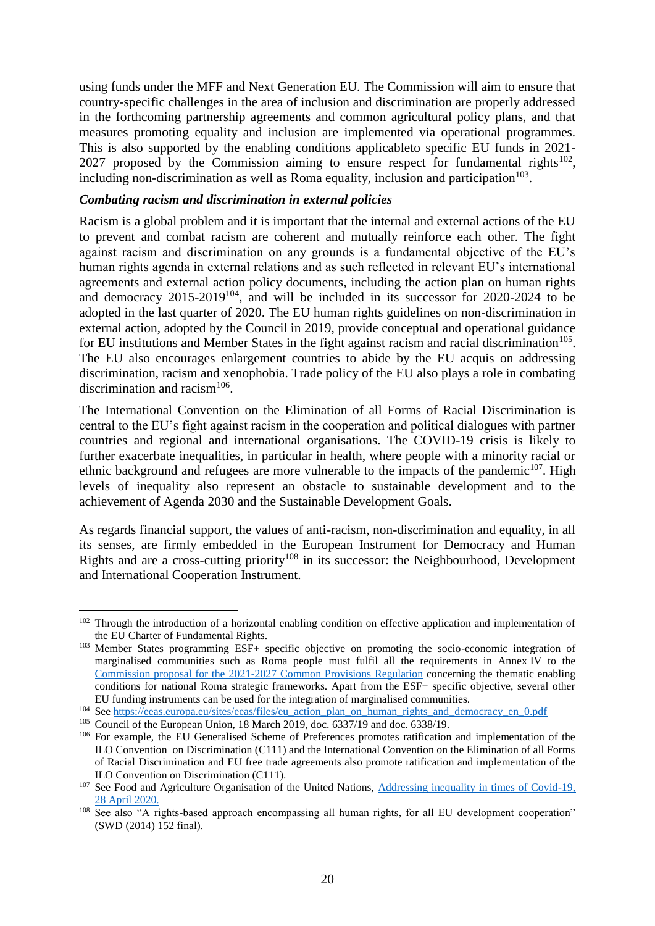using funds under the MFF and Next Generation EU. The Commission will aim to ensure that country-specific challenges in the area of inclusion and discrimination are properly addressed in the forthcoming partnership agreements and common agricultural policy plans, and that measures promoting equality and inclusion are implemented via operational programmes. This is also supported by the enabling conditions applicableto specific EU funds in 2021- 2027 proposed by the Commission aiming to ensure respect for fundamental rights<sup>102</sup>, including non-discrimination as well as Roma equality, inclusion and participation $103$ .

#### *Combating racism and discrimination in external policies*

Racism is a global problem and it is important that the internal and external actions of the EU to prevent and combat racism are coherent and mutually reinforce each other. The fight against racism and discrimination on any grounds is a fundamental objective of the EU's human rights agenda in external relations and as such reflected in relevant EU's international agreements and external action policy documents, including the action plan on human rights and democracy  $2015-2019^{104}$ , and will be included in its successor for 2020-2024 to be adopted in the last quarter of 2020. The EU human rights guidelines on non-discrimination in external action, adopted by the Council in 2019, provide conceptual and operational guidance for EU institutions and Member States in the fight against racism and racial discrimination<sup>105</sup>. The EU also encourages enlargement countries to abide by the EU acquis on addressing discrimination, racism and xenophobia. Trade policy of the EU also plays a role in combating discrimination and racism<sup>106</sup>.

The International Convention on the Elimination of all Forms of Racial Discrimination is central to the EU's fight against racism in the cooperation and political dialogues with partner countries and regional and international organisations. The COVID-19 crisis is likely to further exacerbate inequalities, in particular in health, where people with a minority racial or ethnic background and refugees are more vulnerable to the impacts of the pandemic<sup>107</sup>. High levels of inequality also represent an obstacle to sustainable development and to the achievement of Agenda 2030 and the Sustainable Development Goals.

As regards financial support, the values of anti-racism, non-discrimination and equality, in all its senses, are firmly embedded in the European Instrument for Democracy and Human Rights and are a cross-cutting priority<sup>108</sup> in its successor: the Neighbourhood, Development and International Cooperation Instrument.

<sup>&</sup>lt;sup>102</sup> Through the introduction of a horizontal enabling condition on effective application and implementation of the EU Charter of Fundamental Rights.

<sup>&</sup>lt;sup>103</sup> Member States programming ESF+ specific objective on promoting the socio-economic integration of marginalised communities such as Roma people must fulfil all the requirements in Annex IV to the [Commission proposal for the 2021-2027 Common Provisions Regulation](https://eur-lex.europa.eu/legal-content/EN/TXT/?uri=COM%3A2018%3A375%3AFIN) concerning the thematic enabling conditions for national Roma strategic frameworks. Apart from the ESF+ specific objective, several other EU funding instruments can be used for the integration of marginalised communities.

<sup>&</sup>lt;sup>104</sup> See [https://eeas.europa.eu/sites/eeas/files/eu\\_action\\_plan\\_on\\_human\\_rights\\_and\\_democracy\\_en\\_0.pdf](https://eeas.europa.eu/sites/eeas/files/eu_action_plan_on_human_rights_and_democracy_en_0.pdf)

<sup>&</sup>lt;sup>105</sup> Council of the European Union, 18 March 2019, doc. 6337/19 and doc. 6338/19.

<sup>&</sup>lt;sup>106</sup> For example, the EU Generalised Scheme of Preferences promotes ratification and implementation of the ILO Convention on Discrimination (C111) and the International Convention on the Elimination of all Forms of Racial Discrimination and EU free trade agreements also promote ratification and implementation of the ILO Convention on Discrimination (C111).

<sup>&</sup>lt;sup>107</sup> See Food and Agriculture Organisation of the United Nations, Addressing inequality in times of Covid-19, [28 April 2020.](https://reliefweb.int/sites/reliefweb.int/files/resources/CA8843EN.pdf)

<sup>&</sup>lt;sup>108</sup> See also "A rights-based approach encompassing all human rights, for all EU development cooperation" (SWD (2014) 152 final).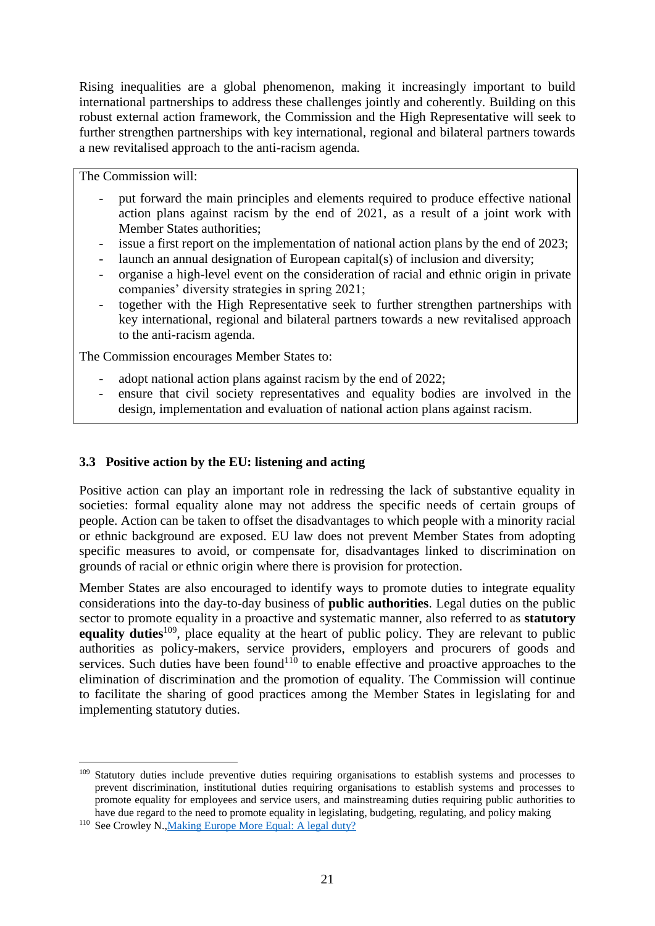Rising inequalities are a global phenomenon, making it increasingly important to build international partnerships to address these challenges jointly and coherently. Building on this robust external action framework, the Commission and the High Representative will seek to further strengthen partnerships with key international, regional and bilateral partners towards a new revitalised approach to the anti-racism agenda.

The Commission will:

- put forward the main principles and elements required to produce effective national action plans against racism by the end of 2021, as a result of a joint work with Member States authorities;
- issue a first report on the implementation of national action plans by the end of 2023;
- launch an annual designation of European capital(s) of inclusion and diversity;
- organise a high-level event on the consideration of racial and ethnic origin in private companies' diversity strategies in spring 2021;
- together with the High Representative seek to further strengthen partnerships with key international, regional and bilateral partners towards a new revitalised approach to the anti-racism agenda.

The Commission encourages Member States to:

- adopt national action plans against racism by the end of 2022;
- ensure that civil society representatives and equality bodies are involved in the design, implementation and evaluation of national action plans against racism.

# **3.3 Positive action by the EU: listening and acting**

Positive action can play an important role in redressing the lack of substantive equality in societies: formal equality alone may not address the specific needs of certain groups of people. Action can be taken to offset the disadvantages to which people with a minority racial or ethnic background are exposed. EU law does not prevent Member States from adopting specific measures to avoid, or compensate for, disadvantages linked to discrimination on grounds of racial or ethnic origin where there is provision for protection.

Member States are also encouraged to identify ways to promote duties to integrate equality considerations into the day-to-day business of **public authorities**. Legal duties on the public sector to promote equality in a proactive and systematic manner, also referred to as **statutory equality duties**<sup>109</sup>, place equality at the heart of public policy. They are relevant to public authorities as policy-makers, service providers, employers and procurers of goods and services. Such duties have been found<sup>110</sup> to enable effective and proactive approaches to the elimination of discrimination and the promotion of equality. The Commission will continue to facilitate the sharing of good practices among the Member States in legislating for and implementing statutory duties.

<sup>&</sup>lt;sup>109</sup> Statutory duties include preventive duties requiring organisations to establish systems and processes to prevent discrimination, institutional duties requiring organisations to establish systems and processes to promote equality for employees and service users, and mainstreaming duties requiring public authorities to have due regard to the need to promote equality in legislating, budgeting, regulating, and policy making

<sup>&</sup>lt;sup>110</sup> See Crowley N., Making Europe More Equal: A legal duty?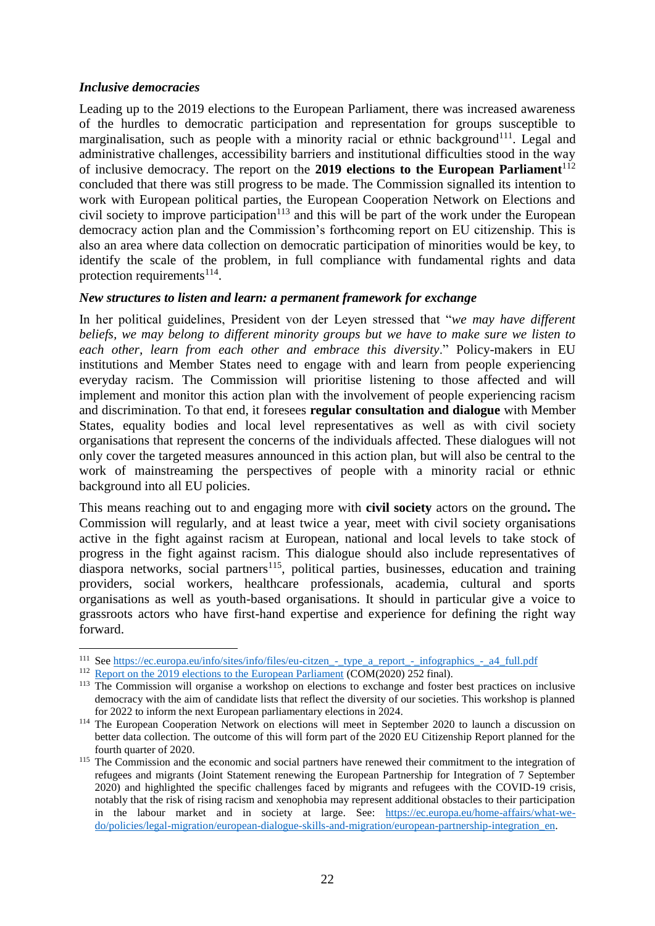### *Inclusive democracies*

Leading up to the 2019 elections to the European Parliament, there was increased awareness of the hurdles to democratic participation and representation for groups susceptible to marginalisation, such as people with a minority racial or ethnic background<sup>111</sup>. Legal and administrative challenges, accessibility barriers and institutional difficulties stood in the way of inclusive democracy. The report on the **2019 elections to the European Parliament**<sup>112</sup> concluded that there was still progress to be made. The Commission signalled its intention to work with European political parties, the European Cooperation Network on Elections and civil society to improve participation<sup>113</sup> and this will be part of the work under the European democracy action plan and the Commission's forthcoming report on EU citizenship. This is also an area where data collection on democratic participation of minorities would be key, to identify the scale of the problem, in full compliance with fundamental rights and data protection requirements<sup>114</sup>.

# *New structures to listen and learn: a permanent framework for exchange*

In her political guidelines, President von der Leyen stressed that "*we may have different beliefs, we may belong to different minority groups but we have to make sure we listen to each other, learn from each other and embrace this diversity*." Policy-makers in EU institutions and Member States need to engage with and learn from people experiencing everyday racism. The Commission will prioritise listening to those affected and will implement and monitor this action plan with the involvement of people experiencing racism and discrimination. To that end, it foresees **regular consultation and dialogue** with Member States, equality bodies and local level representatives as well as with civil society organisations that represent the concerns of the individuals affected. These dialogues will not only cover the targeted measures announced in this action plan, but will also be central to the work of mainstreaming the perspectives of people with a minority racial or ethnic background into all EU policies.

This means reaching out to and engaging more with **civil society** actors on the ground**.** The Commission will regularly, and at least twice a year, meet with civil society organisations active in the fight against racism at European, national and local levels to take stock of progress in the fight against racism. This dialogue should also include representatives of diaspora networks, social partners<sup>115</sup>, political parties, businesses, education and training providers, social workers, healthcare professionals, academia, cultural and sports organisations as well as youth-based organisations. It should in particular give a voice to grassroots actors who have first-hand expertise and experience for defining the right way forward.

<sup>&</sup>lt;u>.</u> <sup>111</sup> See https://ec.europa.eu/info/sites/info/files/eu-citzen\_-\_type\_a\_report\_-\_infographics\_-\_a4\_full.pdf

<sup>&</sup>lt;sup>112</sup> [Report on the 2019 elections to the European Parliament](https://ec.europa.eu/info/sites/info/files/com_2020_252_en_0.pdf) (COM(2020) 252 final).

<sup>&</sup>lt;sup>113</sup> The Commission will organise a workshop on elections to exchange and foster best practices on inclusive democracy with the aim of candidate lists that reflect the diversity of our societies. This workshop is planned for 2022 to inform the next European parliamentary elections in 2024.

<sup>&</sup>lt;sup>114</sup> The European Cooperation Network on elections will meet in September 2020 to launch a discussion on better data collection. The outcome of this will form part of the 2020 EU Citizenship Report planned for the fourth quarter of 2020.

<sup>&</sup>lt;sup>115</sup> The Commission and the economic and social partners have renewed their commitment to the integration of refugees and migrants (Joint Statement renewing the European Partnership for Integration of 7 September 2020) and highlighted the specific challenges faced by migrants and refugees with the COVID-19 crisis, notably that the risk of rising racism and xenophobia may represent additional obstacles to their participation in the labour market and in society at large. See: [https://ec.europa.eu/home-affairs/what-we](https://ec.europa.eu/home-affairs/what-we-do/policies/legal-migration/european-dialogue-skills-and-migration/european-partnership-integration_en)[do/policies/legal-migration/european-dialogue-skills-and-migration/european-partnership-integration\\_en.](https://ec.europa.eu/home-affairs/what-we-do/policies/legal-migration/european-dialogue-skills-and-migration/european-partnership-integration_en)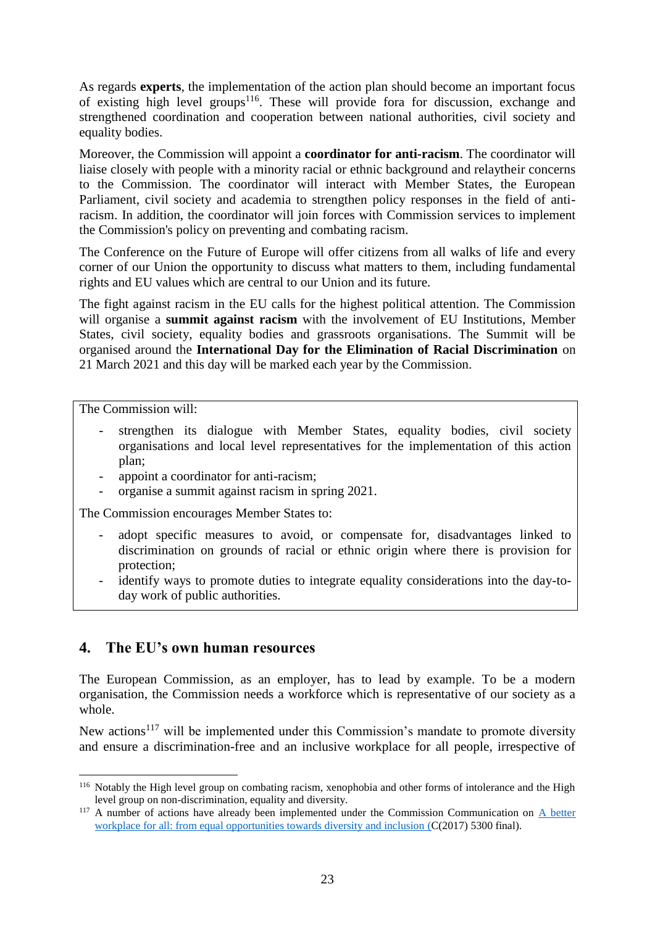As regards **experts**, the implementation of the action plan should become an important focus of existing high level groups<sup>116</sup>. These will provide fora for discussion, exchange and strengthened coordination and cooperation between national authorities, civil society and equality bodies.

Moreover, the Commission will appoint a **coordinator for anti-racism**. The coordinator will liaise closely with people with a minority racial or ethnic background and relaytheir concerns to the Commission. The coordinator will interact with Member States, the European Parliament, civil society and academia to strengthen policy responses in the field of antiracism. In addition, the coordinator will join forces with Commission services to implement the Commission's policy on preventing and combating racism.

The Conference on the Future of Europe will offer citizens from all walks of life and every corner of our Union the opportunity to discuss what matters to them, including fundamental rights and EU values which are central to our Union and its future.

The fight against racism in the EU calls for the highest political attention. The Commission will organise a **summit against racism** with the involvement of EU Institutions, Member States, civil society, equality bodies and grassroots organisations. The Summit will be organised around the **International Day for the Elimination of Racial Discrimination** on 21 March 2021 and this day will be marked each year by the Commission.

The Commission will:

1

- strengthen its dialogue with Member States, equality bodies, civil society organisations and local level representatives for the implementation of this action plan;
- appoint a coordinator for anti-racism;
- organise a summit against racism in spring 2021.

The Commission encourages Member States to:

- adopt specific measures to avoid, or compensate for, disadvantages linked to discrimination on grounds of racial or ethnic origin where there is provision for protection;
- identify ways to promote duties to integrate equality considerations into the day-today work of public authorities.

# **4. The EU's own human resources**

The European Commission, as an employer, has to lead by example. To be a modern organisation, the Commission needs a workforce which is representative of our society as a whole.

New actions<sup>117</sup> will be implemented under this Commission's mandate to promote diversity and ensure a discrimination-free and an inclusive workplace for all people, irrespective of

<sup>116</sup> Notably the High level group on combating racism, xenophobia and other forms of intolerance and the High level group on non-discrimination, equality and diversity.

<sup>&</sup>lt;sup>117</sup> A number of actions have already been implemented under the Commission Communication on A better [workplace for all: from equal opportunities towards diversity and inclusion](https://ec.europa.eu/info/sites/info/files/communication-equal-opportunities-diversity-inclusion-2017.pdf) (C(2017) 5300 final).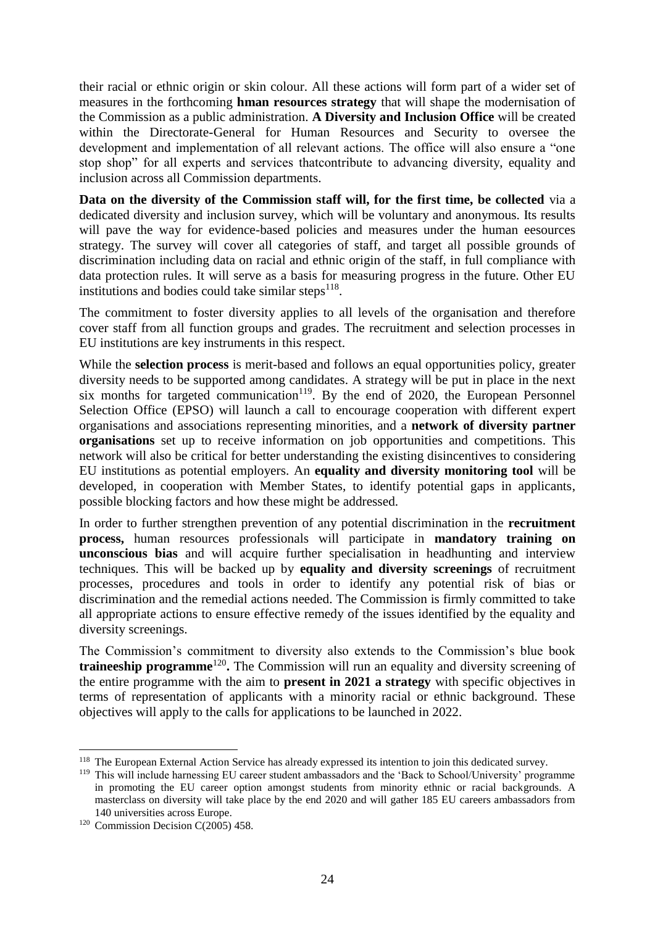their racial or ethnic origin or skin colour. All these actions will form part of a wider set of measures in the forthcoming **hman resources strategy** that will shape the modernisation of the Commission as a public administration. **A Diversity and Inclusion Office** will be created within the Directorate-General for Human Resources and Security to oversee the development and implementation of all relevant actions. The office will also ensure a "one stop shop" for all experts and services thatcontribute to advancing diversity, equality and inclusion across all Commission departments.

**Data on the diversity of the Commission staff will, for the first time, be collected** via a dedicated diversity and inclusion survey, which will be voluntary and anonymous. Its results will pave the way for evidence-based policies and measures under the human eesources strategy. The survey will cover all categories of staff, and target all possible grounds of discrimination including data on racial and ethnic origin of the staff, in full compliance with data protection rules. It will serve as a basis for measuring progress in the future. Other EU institutions and bodies could take similar steps<sup>118</sup>.

The commitment to foster diversity applies to all levels of the organisation and therefore cover staff from all function groups and grades. The recruitment and selection processes in EU institutions are key instruments in this respect.

While the **selection process** is merit-based and follows an equal opportunities policy, greater diversity needs to be supported among candidates. A strategy will be put in place in the next six months for targeted communication<sup>119</sup>. By the end of 2020, the European Personnel Selection Office (EPSO) will launch a call to encourage cooperation with different expert organisations and associations representing minorities, and a **network of diversity partner organisations** set up to receive information on job opportunities and competitions. This network will also be critical for better understanding the existing disincentives to considering EU institutions as potential employers. An **equality and diversity monitoring tool** will be developed, in cooperation with Member States, to identify potential gaps in applicants, possible blocking factors and how these might be addressed.

In order to further strengthen prevention of any potential discrimination in the **recruitment process,** human resources professionals will participate in **mandatory training on unconscious bias** and will acquire further specialisation in headhunting and interview techniques. This will be backed up by **equality and diversity screenings** of recruitment processes, procedures and tools in order to identify any potential risk of bias or discrimination and the remedial actions needed. The Commission is firmly committed to take all appropriate actions to ensure effective remedy of the issues identified by the equality and diversity screenings.

The Commission's commitment to diversity also extends to the Commission's blue book traineeship programme<sup>120</sup>. The Commission will run an equality and diversity screening of the entire programme with the aim to **present in 2021 a strategy** with specific objectives in terms of representation of applicants with a minority racial or ethnic background. These objectives will apply to the calls for applications to be launched in 2022.

<sup>&</sup>lt;sup>118</sup> The European External Action Service has already expressed its intention to join this dedicated survey.

<sup>119</sup> This will include harnessing EU career student ambassadors and the 'Back to School/University' programme in promoting the EU career option amongst students from minority ethnic or racial backgrounds. A masterclass on diversity will take place by the end 2020 and will gather 185 EU careers ambassadors from 140 universities across Europe.

<sup>&</sup>lt;sup>120</sup> Commission Decision C(2005) 458.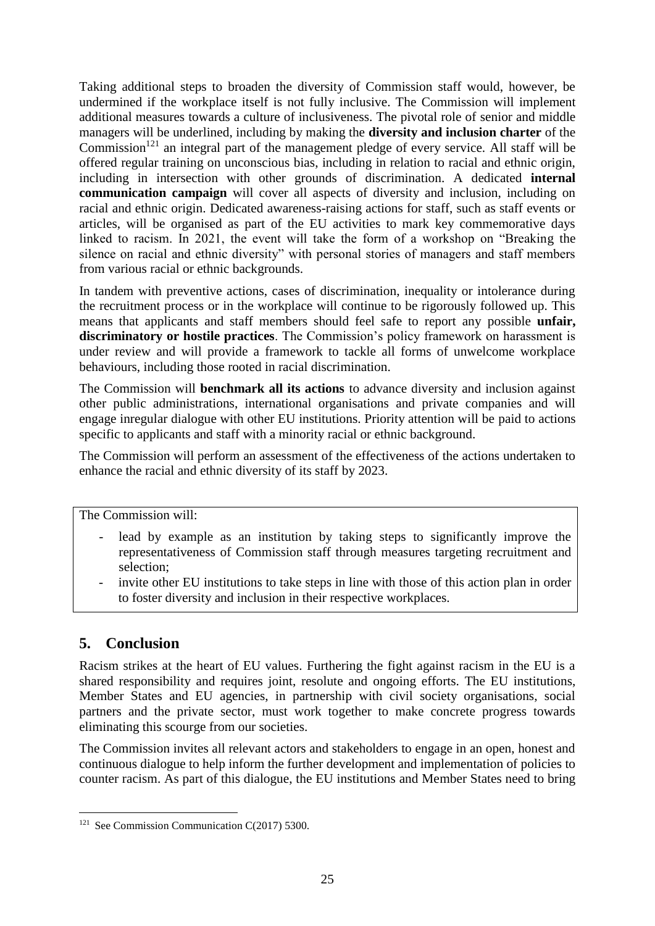Taking additional steps to broaden the diversity of Commission staff would, however, be undermined if the workplace itself is not fully inclusive. The Commission will implement additional measures towards a culture of inclusiveness. The pivotal role of senior and middle managers will be underlined, including by making the **diversity and inclusion charter** of the Commission<sup>121</sup> an integral part of the management pledge of every service. All staff will be offered regular training on unconscious bias, including in relation to racial and ethnic origin, including in intersection with other grounds of discrimination. A dedicated **internal communication campaign** will cover all aspects of diversity and inclusion, including on racial and ethnic origin. Dedicated awareness-raising actions for staff, such as staff events or articles, will be organised as part of the EU activities to mark key commemorative days linked to racism. In 2021, the event will take the form of a workshop on "Breaking the silence on racial and ethnic diversity" with personal stories of managers and staff members from various racial or ethnic backgrounds.

In tandem with preventive actions, cases of discrimination, inequality or intolerance during the recruitment process or in the workplace will continue to be rigorously followed up. This means that applicants and staff members should feel safe to report any possible **unfair, discriminatory or hostile practices**. The Commission's policy framework on harassment is under review and will provide a framework to tackle all forms of unwelcome workplace behaviours, including those rooted in racial discrimination.

The Commission will **benchmark all its actions** to advance diversity and inclusion against other public administrations, international organisations and private companies and will engage inregular dialogue with other EU institutions. Priority attention will be paid to actions specific to applicants and staff with a minority racial or ethnic background.

The Commission will perform an assessment of the effectiveness of the actions undertaken to enhance the racial and ethnic diversity of its staff by 2023.

The Commission will:

- lead by example as an institution by taking steps to significantly improve the representativeness of Commission staff through measures targeting recruitment and selection;
- invite other EU institutions to take steps in line with those of this action plan in order to foster diversity and inclusion in their respective workplaces.

# **5. Conclusion**

Racism strikes at the heart of EU values. Furthering the fight against racism in the EU is a shared responsibility and requires joint, resolute and ongoing efforts. The EU institutions, Member States and EU agencies, in partnership with civil society organisations, social partners and the private sector, must work together to make concrete progress towards eliminating this scourge from our societies.

The Commission invites all relevant actors and stakeholders to engage in an open, honest and continuous dialogue to help inform the further development and implementation of policies to counter racism. As part of this dialogue, the EU institutions and Member States need to bring

<sup>&</sup>lt;u>.</u> <sup>121</sup> See Commission Communication C(2017) 5300.